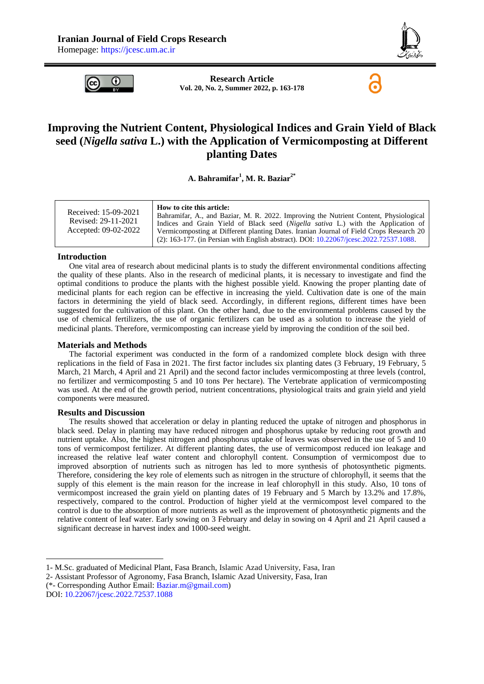

6



**Research Article Vol. 20, No. 2, Summer 2022, p. 163-178**

# **Improving the Nutrient Content, Physiological Indices and Grain Yield of Black seed (***Nigella sativa* **L.) with the Application of Vermicomposting at Different planting Dates**

**A. Bahramifar<sup>1</sup> , M. R. Baziar2\***

| Received: 15-09-2021<br>Revised: 29-11-2021<br>Accepted: 09-02-2022 | How to cite this article:<br>Bahramifar, A., and Baziar, M. R. 2022. Improving the Nutrient Content, Physiological<br>Indices and Grain Yield of Black seed (Nigella sativa L.) with the Application of<br>Vermicomposting at Different planting Dates. Iranian Journal of Field Crops Research 20 |
|---------------------------------------------------------------------|----------------------------------------------------------------------------------------------------------------------------------------------------------------------------------------------------------------------------------------------------------------------------------------------------|
|                                                                     | $(2)$ : 163-177. (in Persian with English abstract). DOI: 10.22067/jcesc.2022.72537.1088.                                                                                                                                                                                                          |

#### **Introduction**

One vital area of research about medicinal plants is to study the different environmental conditions affecting the quality of these plants. Also in the research of medicinal plants, it is necessary to investigate and find the optimal conditions to produce the plants with the highest possible yield. Knowing the proper planting date of medicinal plants for each region can be effective in increasing the yield. Cultivation date is one of the main factors in determining the yield of black seed. Accordingly, in different regions, different times have been suggested for the cultivation of this plant. On the other hand, due to the environmental problems caused by the use of chemical fertilizers, the use of organic fertilizers can be used as a solution to increase the yield of medicinal plants. Therefore, vermicomposting can increase yield by improving the condition of the soil bed.

#### **Materials and Methods**

The factorial experiment was conducted in the form of a randomized complete block design with three replications in the field of Fasa in 2021. The first factor includes six planting dates (3 February, 19 February, 5 March, 21 March, 4 April and 21 April) and the second factor includes vermicomposting at three levels (control, no fertilizer and vermicomposting 5 and 10 tons Per hectare). The Vertebrate application of vermicomposting was used. At the end of the growth period, nutrient concentrations, physiological traits and grain yield and yield components were measured.

#### **Results and Discussion**

1

The results showed that acceleration or delay in planting reduced the uptake of nitrogen and phosphorus in black seed. Delay in planting may have reduced nitrogen and phosphorus uptake by reducing root growth and nutrient uptake. Also, the highest nitrogen and phosphorus uptake of leaves was observed in the use of 5 and 10 tons of vermicompost fertilizer. At different planting dates, the use of vermicompost reduced ion leakage and increased the relative leaf water content and chlorophyll content. Consumption of vermicompost due to improved absorption of nutrients such as nitrogen has led to more synthesis of photosynthetic pigments. Therefore, considering the key role of elements such as nitrogen in the structure of chlorophyll, it seems that the supply of this element is the main reason for the increase in leaf chlorophyll in this study. Also, 10 tons of vermicompost increased the grain yield on planting dates of 19 February and 5 March by 13.2% and 17.8%, respectively, compared to the control. Production of higher yield at the vermicompost level compared to the control is due to the absorption of more nutrients as well as the improvement of photosynthetic pigments and the relative content of leaf water. Early sowing on 3 February and delay in sowing on 4 April and 21 April caused a significant decrease in harvest index and 1000-seed weight.

<sup>1-</sup> M.Sc. graduated of Medicinal Plant, Fasa Branch, Islamic Azad University, Fasa, Iran

<sup>2-</sup> Assistant Professor of Agronomy, Fasa Branch, Islamic Azad University, Fasa, Iran

<sup>(\*-</sup> Corresponding Author Email: [Baziar.m@gmail.com\)](mailto:Baziar.m@gmail.com) DOI: [10.22067/jcesc.2022.72537.1088](https://dx.doi.org/10.22067/jcesc.2022.72537.1088)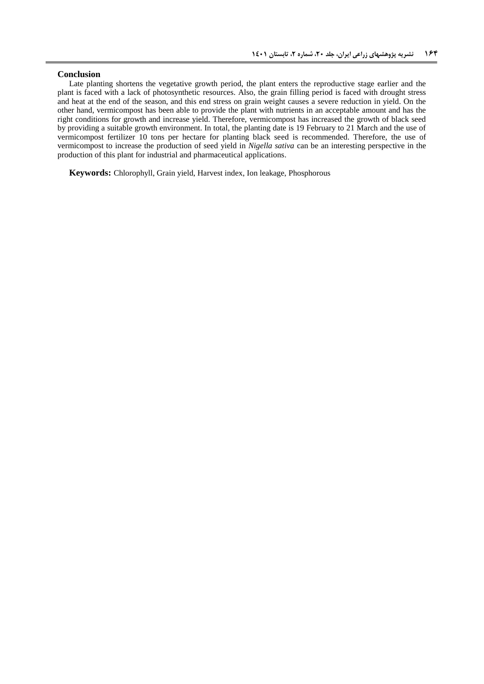#### **Conclusion**

Late planting shortens the vegetative growth period, the plant enters the reproductive stage earlier and the plant is faced with a lack of photosynthetic resources. Also, the grain filling period is faced with drought stress and heat at the end of the season, and this end stress on grain weight causes a severe reduction in yield. On the other hand, vermicompost has been able to provide the plant with nutrients in an acceptable amount and has the right conditions for growth and increase yield. Therefore, vermicompost has increased the growth of black seed by providing a suitable growth environment. In total, the planting date is 19 February to 21 March and the use of vermicompost fertilizer 10 tons per hectare for planting black seed is recommended. Therefore, the use of vermicompost to increase the production of seed yield in *Nigella sativa* can be an interesting perspective in the production of this plant for industrial and pharmaceutical applications.

**Keywords:** Chlorophyll, Grain yield, Harvest index, Ion leakage, Phosphorous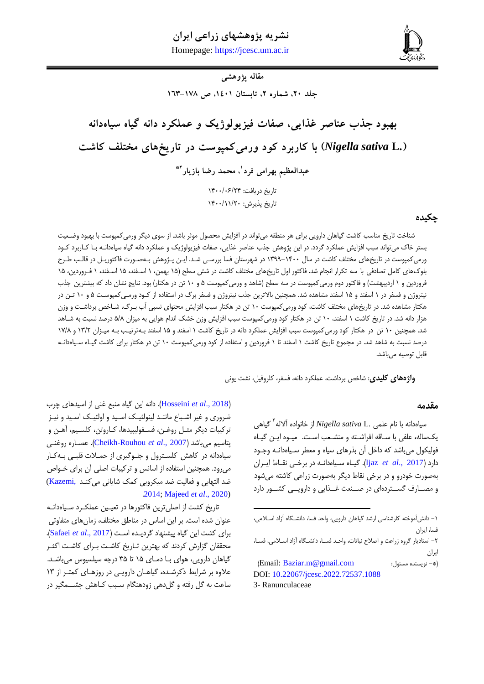# **نشریه پژوهشهای زراعی ایران**

**بهرامی فرد و بازیار، بهبود جذب عناصر غذایی، صفات فیزیولوژیک و عملکرد دانه گیاه سیاهدانه... 461** Homepage: [https://jcesc.um.ac.ir](https://jcesc.um.ac.ir/)



**مقاله پژوهشی**

جلد ٢٠، شماره ٢، تابستان ١٤٠١، ص ١٧٨-١٦٣

# **بهبود جذب عناصر غذایی، صفات فیزیولوژیک و عملکرد دانه گیاه سیاهدانه ).L** *sativa Nigella* **)با کاربرد کود ورمیکمپوست در تاریخهای مختلف کاشت**

**1 عبدالعظیم بهرامی فرد 0\* ، محمد رضا بازیار**

تاریخ دریافت: ۱۴۰۰/۰۶/۲۴ تاریخ پذیرش: ١۴٠٠/١١/٢٠

# **چکیده**

شناخت تاریخ مناسب کاشت گیاهان دارویی برای هر منطقه میتواند در افزایش محصول موثر باشد. از سوی دیگر ورمیکمپوست با بهبود وضعییت بستر خاک میتواند سبب افزایش عملکرد گردد. در این پژوهش جذب عناصر غذایی، صفات فیزیولوژیک و عملکرد دانه گیاه سیاهدانعه بعا کعاربرد کعود ورمیکمپوست در تاریخهای مختلف کاشت در سال ۱۴۰۰–۱۳۹۹ در شهرستان فسا بررسـی شـد. ایـن پـژوهش بـهصـورت فاکتوریـل در قالـب طـرح بلوکهای کامل تصادفی با سه تکرار انجام شد. فاکتور اول تاریخهای مختلف کاشت در شش سطح (۱۵ بهمن، ۱ اسـفند، ۱۵ اسـفند، ۱ فـروردین، ۱۵ فروردین و ۱ اردیبهشت) و فاکتور دوم ورمیکمپوست در سه سطح (شاهد و ورمیکمپوست ۵ و ۱۰ تن در هکتار) بود. نتایج نشان داد که بیشترین جذب نیتروژن و فسفر در 0 اسفند و 01 اسفند مشاهده شد. همچنین باالترین جذب نیتروژن و فسفر برگ در استفاده از کعود ورمعی کمپوسعت 1 و 06 تعن در هکتار مشاهده شد. در تاریخهای مختلف کاشت، کود ورمیکمپوست ۱۰ تن در هکتار سبب افزایش محتوای نسبی آب بـرگ، شـاخص برداشـت و وزن هزار دانه شد. در تاریخ کاشت ۱ اسفند، ۱۰ تن در هکتار کود ورمیکمپوست سبب افزایش وزن خشک اندام هوایی به میزان ۵/۸ درصد نسبت به شـاهد شد. همچنین ۱۰ تن در هکتار کود ورمیکمپوست سبب افزایش عملکرد دانه در تاریخ کاشت ۱ اسفند و ۱۵ اسفند بـهترتیـب بـه میـزان ۱۳/۲ و ۱۷/۸ درصد نسبت به شاهد شد. در مجموع تاریخ کاشت ۱ اسفند تا ۱ فروردین و استفاده از کود ورمیکمپوست ۱۰ تن در هکتار برای کاشت گیـاه سـیاهدانـه قابل توصیه میباشد.

**.** 

**واژههای کلیدی**: شاخص برداشت، عملکرد دانه، فسفر، کلروفیل، نشت یونی

#### **مقدمه**

سیاهدانه با نام علمی .Nigella sativa L از خانواده آلاله<sup>۳</sup> گیاهی یکساله، علفی با ساقه افراشته و منشعب است. میوه این گیاه فولیکول میباشد که داخل آن بذرهای سیاه و معطر سـیاهدانـه وجـود دارد (Ijaz et al., 2017). گیـاه سـياهدانــه در برخــى نقــاط ايــران بهصورت خودرو و در برخی نقاط دیگر بهصورت زراعی کاشته میشود و مصـارف گسـتردهای در صـنعت غـذایی و دارویــی کشـور دارد

-0 دانشآموخته کارشناسی ارشد گیاهان دارویی، واحد فسا، دانشعگاه آزاد اسعیمی، فسا، ایران -4 استادیار گروه زراعت و اصی نباتات، واحعد فسعا ، دانشعگاه آزاد اسعیمی ، فسعا، ایران

)Email[: Baziar.m@gmail.com](mailto:Baziar.m@gmail.com) :مسئول نویسنده -)\* DOI: [10.22067/jcesc.2022.72537.1088](https://dx.doi.org/10.22067/jcesc.2022.72537.1088) 3- Ranunculaceae

)2018 .,*al et* [Hosseini](#page-13-1)). دانه این گیاه منبع غنی از اسیدهای چرب ضروری و غیر اشـباع ماننـد لینولئیـک اسـید اسـید و نیـز ترکیبات دیگر مثـل روغـن، فسـفولیپیدها، کـاروتن، کلسـیم، آهـن و پتاسی، میباشد )2007 .,*al et* [Rouhou-Cheikh](#page-13-2)). عصعاره روغنعی سیاهدانه در کاهش کلسترول و جلـوگیری از حمـلات قلبـی بـهکـار میرود. همچنین استفاده از اسانس و ترکیبات اصلی آن برای خعوا ضد التهابی و فعالیت ضد میکروبی کمک شایانی میکند ,Kazemi) .[2014;](#page-14-0) [Majeed](#page-14-1) *et al*., 2020)

تاریخ کشت از اصلیترین فاکتورها در تییعین عملکعرد سعیاه دانعه عنوان شده است. بر این اساس در مناطق مختلف، زمانهای متفاوتی برای کشت این گیاه پیشنهاد گردیعده اسعت ) [2017 .,](#page-14-2)*al et* Safaei). محققان گزارش کردند که بهترین تـاریخ کاشـت بـرای کاشـت اکثـر گیاهان دارویی، هوای با دمای ۱۵ تا ۳۵ درجه سیلسیوس میباشد. علاوه بر شرایط ذکرشده، گیاهـان دارویـی در روزهـای کمتـر از ١٣ ساعت به گل رفته و گلدهی زودهنگام سـبب کـاهش چشـــمگیر در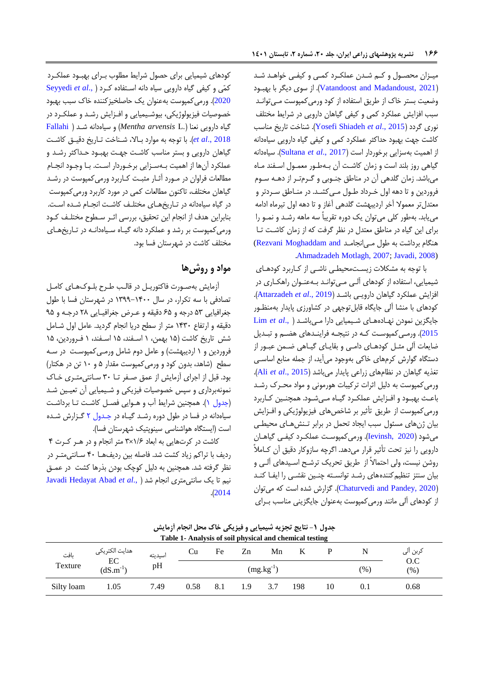میـزان محصـول و کـم شـدن عملکـرد کمـی و کیفـی خواهـد شـد )[2021 ,Madandoust and Vatandoost](#page-15-0)). از سوی دیگر با بهبعود وضییت بستر خاک از طریق استفاده از کود ورمیکمپوست معی توانعد سبب افزایش عملکرد کمی و کیفی گیاهان دارویی در شرایط مختلف نوری گردد )2015 .,*al et* [Shiadeh Yosefi](#page-15-1)). شناخت تاریخ مناسب کاشت جهت بهبود حداکثر عملکرد کمی و کیفی گیاه دارویی سیاهدانه از اهمیت بهسزایی برخوردار است )2017 .,*al et* [Sultana](#page-14-3)). سیاهدانه گیاهی روز بلند است و زمان کاشت آن بـهطـور معمـول اسـفند مـاه میباشد. زمان گلدهی آن در مناطق جنوبی و گـرمتـر از دهـه سـوم فروردین و تا دهه اول خعرداد طعول معی کشعد . در منعاطق سعردتر و میتدلتر میموال آخر اردیبهشت گلدهی آغاز و تا دهه اول تیرماه ادامه مییابد. بهطور کلی میتوان یک دوره تقریباً سه ماهه رشعد و نمعو را برای این گیاه در مناطق میتدل در نظر گرفت که از زمان کاشعت تعا هنگام برداشت به طول معی انجامد Rezvani Moghaddam and .[Ahmadzadeh Motlagh, 2007;](#page-14-4) [Javadi, 2008\)](#page-14-5)

با توجه به مشکلات زیستمحیطی ناشعی از کـاربرد کودهـای شیمیایی، استفاده از کودهای آلبی معی توانـد بـهعنـوان راهکـاری در افزایش عملکرد گیاهان دارویعی باشعد ) 2019 .,*al et* [Attarzadeh](#page-13-3)). کودهای با منشا آلی جایگاه قابل توجهی در کشاورزی پایدار بهمنظـور جایگزین نمودن نهعاده هعای شعیمیایی دارا معی با[شعد \)](#page-14-6) .,*al et* Lim [2015](#page-14-6)). ورمعی کمپوست کـه در نتیجـه فراینـدهای هضـم و تبـدیل ضایعات آلی مثـل کودهـای دامـی و بقایـای گیـاهی ضـمن عبـور از دستگاه گوارش کرمهای خاکی بهوجود میآید، از جمله منابع اساسعی تغذیه گیاهان در نظامهای زراعی پایدار میباشد )[2015 .,](#page-13-4)*al et* Ali). ورمی کمپوست به دلیل اثرات ترکیبات هورمونی و مواد محـرک رشـد باعث بهبود و افـزایش عملکـرد گیـاه مـیشـود. همچنـین کـاربرد ورمی کمپوست از طریق تأثیر بر شاخصهای فیزیولوژیکی و افـزایش بیان ژنهای مسئول سبب ایجاد تحمل در برابر تنش های محیطی میشود )[2020 ,Ievinsh](#page-13-5)). ورمیکمپوسعت عملکعرد کیفعی گیاهعان دارویی را نیز تحت تأثیر قرار میدهد. اگرچه سازوکار دقیق آن کعامیً روشن نیست، ولی احتماالً از طریق تحریک ترشعح اسعیدهای آلعی و بیان سنتز تنظیم کنندههای رشد توانسته چنین نقشعی را ایفا کند )[2020 ,Pandey and Chaturvedi](#page-13-6)). گزارش شده است که میتوان از کودهای آلی مانند ورمیکمپوست بهعنوان جایگزینی مناسب بعرای

کودهای شیمیایی برای حصول شرایط مطلوب بـرای بهبـود عملکـرد کمّی و کیفی گیاه دارویی سیاه دانه اسعتفاده کعر[د](#page-14-7) ) .,*al et* [Seyyedi](#page-14-7) [2020](#page-14-7)(. ورمیکمپوست بهعنوان یک حاصلخیزکننده خاک سبب بهبود خصوصیات فیزیولوژیکی، بیوشیمیایی و افـزایش رشـد و عملکـرد در گیاه دارویی نینا ).L *arvensis Mentha* )و سیاهدانه شعد [\)](#page-13-7) [Fallahi](#page-13-7) [2018 .,](#page-13-7)*al et*). با توجه به موارد بعاال، شعناخت تعاریخ دقیعق کاشعت گیاهان دارویی و بستر مناسب کاشعت جهعت بهبعود حعداکثر رشعد و عملکرد آنها از اهمیت بـهسـزایی برخـوردار اسـت. بـا وجـود انجـام مطالعات فراوان در مـورد آثـار مثبـت کـاربرد ورمیکمپوست در رشـد گیاهان مختلف، تاکنون مطالیات کمی در مورد کاربرد ورمیکمپوست در گیاه سیاهدانه در تاریخهای مختلف کاشت انجام شده است. بنابراین هدف از انجام این تحقیق، بررسی اثـر سـطوح مختلـف کـود ورمی کمپوست بر رشد و عملکرد دانه گیاه سیاهدانـه در تاریخهای مختلف کاشت در شهرستان فسا بود.

# **مواد و روشها**

آزمایش بهصورت فاکتوریـل در قالـب طـرح بلـوکـهـای کامـل تصادفی با سه تکرار، در سال 0911-0266 در شهرستان فسا با طول جغرافیایی ۵۳ درجه و ۶۵ دقیقه و عـرض جغرافیـایی ۲۸ درجـه و ۹۵ دقیقه و ارتفاع ۱۴۳۰ متر از سطح دریا انجام گردید. عامل اول شـامل شش تاریخ کاشت (۱۵ بهمن، ۱ اسـفند، ۱۵ اسـفند، ۱ فـروردین، ۱۵ فروردین و ۱ اردیبهشت) و عامل دوم شامل ورمـی کمپوسـت در سـه سطح )شاهد، بدون کود و ورمیکمپوست مقدار 1 و 06 تن در هکتار( بود. قبل از اجرای آزمایش از عمق صفر تا ۳۰ سانتی متری خاک نمونهبرداری و سپس خصوصیات فیزیکی و شعیمیایی آن تییعین شعد (جدول ۱). همچنین شرایط آب و هـوایی فصـل کاشـت تـا برداشـت سیاهدانه در فسا در طول دوره رشد گیاه در جدول ۲ گزارش شده است (ایستگاه هواشناسی سینوپتیک شهرستان فسا).

کاشت در کرتهایی به ابیاد 0/0×9 متر انجام و در هعر کعرت 2 ردیف با تراکم زیاد کشت شد. فاصله بین ردیفها ۴۰ سـانتی متـر در نظر گرفته شد. همچنین به دلیل کوچک بودن بذرها کشت در عمـق نی، تا یک سانتیمتری انجام شد ).[,](#page-14-5)*al et* [Abad Hedayat Javadi](#page-14-5) .)[2014](#page-14-5)

|            |                     |         | Table 1- Analysis of soil physical and chemical testing |     |     |                |     |    |      |            |
|------------|---------------------|---------|---------------------------------------------------------|-----|-----|----------------|-----|----|------|------------|
| بافت       | هدايت الكتريكي      | اسيديته | Cu                                                      | Fe  | Zn  | Mn             | K   |    |      | كربن الى   |
| Texture    | EC<br>$(dS.m^{-1})$ | pH      |                                                         |     |     | $(mg.kg^{-1})$ |     |    | (% ) | O.C<br>(%) |
| Silty loam | 1.05                | 7.49    | 0.58                                                    | 8.1 | 1.9 | 3.7            | 198 | 10 |      | 0.68       |

<span id="page-3-0"></span>**جدول -0 نتایج تجزیه شیمیایی و فیزیکی خاك محل انجام آزمایش**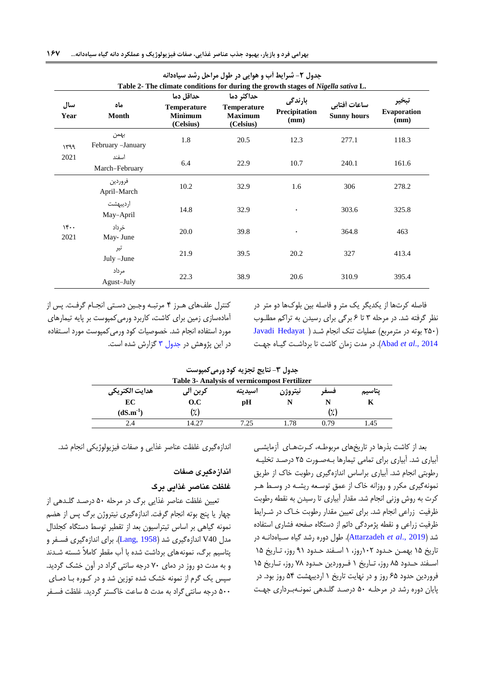|             |                            | Table 2- The climate conditions for during the growth stages of Nigella sativa L. | جدوں ۱ – سرایف آب و هوایی در طول مراحل رسد سیاهدانه             |                                  |                                    |                     |
|-------------|----------------------------|-----------------------------------------------------------------------------------|-----------------------------------------------------------------|----------------------------------|------------------------------------|---------------------|
| سال<br>Year | ماه<br>Month               | حداقل دما<br><b>Temperature</b><br><b>Minimum</b><br>(Celsius)                    | حداكثر دما<br><b>Temperature</b><br><b>Maximum</b><br>(Celsius) | بارندگی<br>Precipitation<br>(mm) | ساعات أفتابي<br><b>Sunny hours</b> | Evaporation<br>(mm) |
| ۱۳۹۹        | بهمن<br>February - January | 1.8                                                                               | 20.5                                                            | 12.3                             | 277.1                              | 118.3               |
| 2021        | اسفند<br>March-February    | 6.4                                                                               | 22.9                                                            | 10.7                             | 240.1                              | 161.6               |
| 15<br>2021  | فروردين<br>April-March     | 10.2                                                                              | 32.9                                                            | 1.6                              | 306                                | 278.2               |
|             | ارديبهشت<br>May-April      | 14.8                                                                              | 32.9                                                            | ٠                                | 303.6                              | 325.8               |
|             | خرداد<br>May- June         | 20.0                                                                              | 39.8                                                            | $\bullet$                        | 364.8                              | 463                 |
|             | تير<br>July -June          | 21.9                                                                              | 39.5                                                            | 20.2                             | 327                                | 413.4               |
|             | مر داد<br>Agust-July       | 22.3                                                                              | 38.9                                                            | 20.6                             | 310.9                              | 395.4               |

<span id="page-4-0"></span>**جدول -0 شرایط آب و هوایی در طول مراحل رشد سیاهدانه**

کنترل علفهای هعرز 2 مرتبعه وجعین دسعتی انجعام گرفعت . پس از آمادهسازی زمین برای کاشت، کاربرد ورمیکمپوست بر پایه تیمارهای مورد استفاده انجام شد. خصوصیات کود ورمیکمپوست مورد اسعتفاده در این پژوهش در [جدول](#page-4-1) 9 گزارش شده است. <span id="page-4-1"></span>فاصله کرتها از یکدیگر یک متر و فاصله بین بلوکها دو متر در نظر گرفته شد. در مرحله ۳ تا ۶ برگی برای رسیدن به تراکم مطلـوب )416 بوته در مترمربع( عملیات تنک انجام شعد [\)](#page-14-5) [Hedayat Javadi](#page-14-5) [2014 .,](#page-14-5)*al et* Abad). در مدت زمان کاشت تا برداشعت گیعاه جهعت

**جدول -3 نتایج تجزیه کود ورمیکمپوست Table 3- Analysis of vermicompost Fertilizer پتاسیم K فسفر N نیتروژن N اسیدیته pH کربن آلی O.C هدایت الکتریکی EC** (dS.m<sup>-1</sup>)  $\qquad \qquad (*)$  (2) **-1 )** 2.4 14.27 7.25 1.78 0.79 1.45

بید از کاشت بذرها در تاریخهای مربوطعه، کعرت هعای آزمایشعی آبیاری شد. آبیاری برای تمامی تیمارها بعه صعورت 41 درصعد تخلیعه رطوبتی انجام شد. آبیاری براساس اندازهگیری رطوبت خاک از طریق نمونهگیری مکرر و روزانه خاک از عمق توسعیه ریشعه در وسعط هعر کرت به روش وزنی انجام شد. مقدار آبیاری تا رسیدن به نقطه رطوبت ظرفیت زراعی انجام شد. برای تعیین مقدار رطوبت خـاک در شـرایط ظرفیت زراعی و نقطه پژمردگی دائم از دستگاه صفحه فشاری استفاده شد )2019 .,*al et* [Attarzadeh](#page-13-3)). طول دوره رشد گیاه سعیاه دانعه در تاریخ ۱۵ بهمـن حـدود ۱۰۲روز، ۱ اسـفند حـدود ۹۱ روز، تـاریخ ۱۵ اسعفند حدود ۸۵ روز، تاریخ ۱ فعروردین حدود ۷۸ روز، تاریخ ۱۵ فروردین حدود 01 روز و در نهایت تاریخ 0 اردیبهشت 12 روز بود. در پایان دوره رشد در مرحلعه 16 درصعد گلعدهی نمونعه بعرداری جهعت

اندازهگیری غلظت عناصر غذایی و صفات فیزیولوژیکی انجام شد.

#### اندازهگیری صفات

#### **غلظت عناصرغذاییبرگ**

تییین غلظت عناصر غذایی برگ در مرحله 16 درصعد گلعدهی از چهار یا پنج بوته انجام گرفت. اندازهگیری نیتروژن برگ پس از هضم نمونه گیاهی بر اساس تیتراسیون بید از تقطیر توسط دستگاه کجلدال مدل 40V اندازهگیری شد )[1958 ,Lang](#page-14-8)). برای اندازهگیری فسعفر و پتاسیم برگ، نمونههای برداشت شده با آب مقطر کاملاً شسته شـدند و به مدت دو روز در دمای 16 درجه سانتی گراد در آون خشک گردید. سپس یک گرم از نمونه خشک شده توزین شد و در کـوره بـا دمـای 166 درجه سانتیگراد به مدت 1 ساعت خاکستر گردید. غلظت فسعفر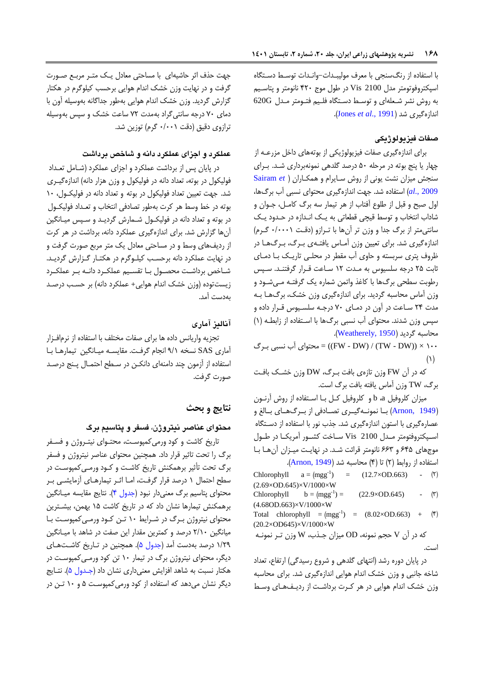با استفاده از رنگسنجی با میر مولیبعدات -وانعدات توسعط دسعتگاه اسپکتروفوتومتر مدل 2100 Vis در طول موج 246 نانومتر و پتاسعی، به روش نشر شعیله ای و توسعط دسعتگاه فلعی، فتعومتر معدل G620 اندازهگیری شد (Jones et al[., 1991](#page-14-9)).

# **صفات فیزیولوژیکی**

برای اندازهگیری صفات فیزیولوژیکی از بوتههای داخل مزرعـه از چهار یا پنج بوته در مرحله 16 درصد گلدهی نمونهبرداری شعد . بعرای سنجش میزان نشت یونی از روش سعایرام و همکعارا[ن](#page-14-10) ) *et* [Sairam](#page-14-10) [2009 .,](#page-14-10)*al* )استفاده شد. جهت اندازهگیری محتوای نسبی آب برگها، اول صبح و قبل از طلوع آفتاب از هر تیمار سه برگ کامـل، جــوان و شاداب انتخاب و توسط قیچی قطیاتی به یعک انعدازه در حعدود یعک سانتی متر از برگ جدا و وزن تر آنها با ترازو (دقت ۰/۰۰۰۱ گرم) اندازهگیری شد. برای تعیین وزن آمـاس یافتـهی بـرگ، بـرگـهـا در ظروف پتری سربسته و حاوی آب مقطر در محلـی تاریـک بـا دمـای ثابت 41 درجه سلسیوس به معدت 04 سعاعت قعرار گرفتنعد. سعپس رطوبت سطحی برگها با کاغذ واتمن شماره یک گرفتعه معی شع ود و وزن آماس محاسبه گردید. برای اندازهگیری وزن خشک، برگهعا بعه مدت ٢۴ سـاعت در آون در دمـای ٧٠ درجـه سلسـيوس قـرار داده و سپس وزن شدند. محتوای آب نسبی برگها با استفاده از زابطه (۱) محاسبه گردید )[1950 ,Weatherely](#page-15-2)).

066 × ((DW - TW (/) DW - FW = ((محتوای آب نسبی بعرگ  $\left(\begin{smallmatrix} \lambda \\ \end{smallmatrix}\right)$ 

که در آن FW وزن تازهی بافت بعرگ، DW وزن خشعک بافعت برگ، TW وزن آماس یافته بافت برگ است.

میزان کلروفیل b، a و کلروفیل کـل بـا اسـتفاده از روش آرنــون ([1949 ,Arnon](#page-13-8)) بــا نمونــهگیــری تصــادفی از بــرگـهــای بــالغ و عصارهگیری با استون اندازهگیری شد. جذب نور با استفاده از دسعتگاه اسپکتروفتومتر مـدل Vis 2100 سـاخت کشـور آمریکـا در طـول موجهای ۶۴۵ و ۶۶۳ نانومتر قرائت شد. در نهایت میـزان آن هـا بـا استفاده از روابط )4( تا )2( محاسبه شد )[1949 ,Arnon](#page-13-8)).

Chlorophyll  $a = (mgg^{-1}) = (12.7 \times OD.663)$  - (5) Chlorophyll  $a = (mgg^{-1})$ (2.69×OD.645)×V/1000×W Chlorophyll  $b = (mgg^{-1}) = (22.9 \times OD.645)$  - ( $\binom{m}{2}$  $b = (mgg^{-1}) =$ (4.68OD.663)×V/1000×W Total chlorophyll  $=$   $(mgg^{-1})$  = (8.02×OD.663) + (\*) (20.2×OD645)×V/1000×W که در آن V حج، نمونه، OD میزان جعذب، W وزن تعر نمونعه است.

در پایان دوره رشد (انتهای گلدهی و شروع رسیدگی) ارتفاع، تعداد شاخه جانبی و وزن خشک اندام هوایی اندازهگیری شد. برای محاسبه وزن خشک اندام هوایی در هر کـرت برداشـت از ردیـفـهـای وسـط

جهت حذف اثر حاشیهای با مساحتی معادل یک متـر مربـع صـورت گرفت و در نهایت وزن خشک اندام هوایی برحسب کیلوگرم در هکتار گزارش گردید. وزن خشک اندام هوایی بهطور جداگانه بهوسیله آون با دمای 16 درجه سانتیگراد بهمدت 14 ساعت خشک و سپس بهوسیله ترازوی دقیق (دقت ۰/۰۰۱ گرم) توزین شد.

#### **عملکرد و اجزای عملکرد دانه و شاخص برداشت**

در پایان پس از برداشت عملکرد و اجزای عملکرد (شـامل تعـداد فولیکول در بوته، تعداد دانه در فولیکول و وزن هزار دانه) اندازهگیری شد. جهت تییین تیداد فولیکول در بوته و تیداد دانه در فولیکعول، 06 بوته در خط وسط هر کرت بهطور تصادفی انتخاب و تیعداد فولیکعول در بوته و تیداد دانه در فولیکعول شعمارش گردیعد و سعپس میعانگین آنها گزارش شد. برای اندازهگیری عملکرد دانه، برداشت در هر کرت از ردیفهای وسط و در مساحتی میادل یک متر مربع صورت گرفت و در نهایت عملکرد دانه برحسب کیلـوگرم در هکتـار گـزارش گردیـد. شـاخص برداشـت محصـول بــا تقســيم عملکــرد دانــه بــر عملکــرد زیستتوده (وزن خشک اندام هوایی+ عملکرد دانه) بر حسب درصد بهدست آمد.

### **آنالیزآماری**

تجزیه واریانس داده ها برای صفات مختلف با استفاده از نرمافعزار آماری SAS نسخه 1/0 انجام گرفعت . مقایسعه میعانگین تیمارهعا بعا استفاده از آزمون چند دامنهای دانکعن در سعطح احتمعال پعنج درصعد صورت گرفت.

# **نتایج و بحث**

### محتوا*ی* عناصر نیتروژن، فسفر و پتاسیم برگ

تاریخ کاشت و کود ورمیکمپوست، محتـوای نیتـروژن و فسـفر برگ را تحت تاثیر قرار داد. همچنین محتوای عناصر نیتروژن و فسفر برگ تحت تأثیر برهمکنش تاریخ کاشعت و کعود ورمعی کمپوسعت در سطح احتمال 0 درصد قرار گرفعت، امعا اثعر تیمارهعای آزمایشعی بعر محتوای پتاسیم برگ معنیدار نبود (جدول ۴). نتایج مقایسه میـانگین برهمکنش تیمارها نشان داد که در تاریخ کاشت ۱۵ بهمن، بیشترین محتوای نیتروژن بـرگ در شـرایط ۱۰ تـن کـود ورمـی کمپوسـت بـا میانگین 4/06 درصد و کمترین مقدار این صفت در شاهد با میعانگین ۱/۲۹ درصد بهدست آمد (جدول ۵). همچنین در تـاریخ کاشـتهـای دیگر، محتوای نیتروژن برگ در تیمار 06 تن کود ورمعی کمپوسعت در هکتار نسبت به شاهد افزایش معنیداری نشان داد (جـدول ۵). نتـایج دیگر نشان میدهد که استفاده از کود ورمیکمپوسعت 1 و 06 تعن در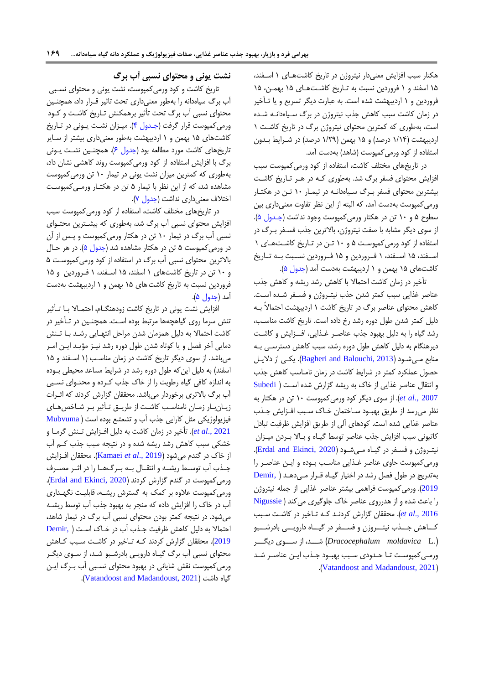هکتار سبب افزایش مینیدار نیتروژن در تاریخ کاشتهعای 0 اسعفند، 01 اسفند و 0 فروردین نسبت به تعاریخ کاشعت هعای 01 بهمعن، 01 فروردین و ۱ اردیبهشت شده است. به عبارت دیگر تسریع و یا تـأخیر در زمان کاشت سبب کاهش جذب نیتروژن در برگ سیاهدانـه شـده است، بهطوری که کمترین محتوای نیتروژن برگ در تاریخ کاشعت 0 اردیبهشت (۱/۱۴ درصد) و ۱۵ بهمن (۱/۲۹ درصد) در شـرایط بـدون استفاده از کود ورمی کمپوست (شاهد) بهدست آمد.

در تاریخهای مختلف کاشت، استفاده از کود ورمیکمپوست سبب افزایش محتوای فسفر برگ شد. بهطوری کـه در هـر تـاریخ کاشـت بیشترین محتوای فسفر برگ سیاهدانـه در تیمـار ١٠ تـن در هکتـار ورمیکمپوست بهدست آمد، که البته از این نظر تفاوت مینیداری بین سطوح ۵ و ۱۰ تن در هکتار ورمی کمپوست وجود نداشت (جـدول ۵). از سوی دیگر مشابه با صفت نیتروژن، باالترین جذب فسعفر بعرگ در استفاده از کود ورمی کمپوست ۵ و ۱۰ تـن در تـاریخ کاشـتهای ۱ اسـفند، ۱۵ اسـفند، ۱ فـروردین و ۱۵ فـروردین نسـبت بـه تـاریخ کاشتهای 01 بهمن و 0 اردیبهشت بهدست آمد [\)جدول 1\(](#page-8-0).

تأخیر در زمان کاشت احتماال با کاهش رشد ریشه و کاهش جذب عناصر غذایی سبب کمتر شدن جذب نیتـروژن و فسـفر شـده اسـت. کاهش محتوای عناصر برگ در تاریخ کاشت 0 اردیبهشت احتماالً بعه دلیل کمتر شدن طول دوره رشد رخ داده است. تاریخ کاشت مناسب، رشد گیاه را به دلیل بهبود جذب عناصـر غـذایی، افــزایش و کاشـت دیرهنگام به دلیل کاهش طول دوره رشد، سبب کاهش دسترسـی بـه منابع مـیشـود (Bagheri and Balouchi, 2013). یکـی از دلایـل حصول عملکرد کمتر در شرایط کاشت در زمان نامناسب کاهش جذب و انتقال عناصر غذایی از خاک به ریشه گزارش شده اسعت [\)](#page-14-11) [Subedi](#page-14-11) [2007 .,](#page-14-11)*al et*). از سوی دیگر کود ورمیکمپوست 06 تن در هکتار به نظر میرسد از طریق بهبـود سـاختمان خـاک سـبب افـزایش جـذب عناصر غذایی شده است. کودهای آلی از طریق افزایش ظرفیت تبادل کاتیونی سبب افزایش جذب عناصر توسط گیـاه و بـالا بـردن میـزان نیت روژن و فسـفر در گیـاه مـیشـود (Erdal and Ekinci, 2020). ورمیکمپوست حاوی عناصر غعذایی مناسعب بعوده و ایعن عناصعر را بهتدریج در طول فصل رشد در اختیار گیاه قـرار مـی دهـد ( Demir, [2019](#page-13-11)(. ورمیکمپوست فراهمی بیشتر عناصر غذایی از جمله نیتروژن را باعث شده و از هدرروی عناصر خاک جلوگیری می کند ( [Nigussie](#page-14-12) [2016 .,](#page-14-12)*al et*). محققان گزارش کردنعد کعه تعاخیر در کاشعت سعبب کــاهش جـــذب نیتـــروزن و فســـفر در گیـــاه دارویـــی بادرشـــبو ).L *moldavica Dracocephalum* )شعععد، از سعععوی دیگعععر ورمعی کمپوست تـا حـدودی سـبب بهبـود جـذب ایـن عناصـر شـد .([Vatandoost and Madandoust, 2021](#page-15-0))

# **نشت یونی و محتوای نسبی آب برگ**

تاریخ کاشت و کود ورمیکمپوست، نشت یونی و محتوای نسعبی آب برگ سیاهدانه را بهطور مینیداری تحت تاثیر قعرار داد، همچنعین محتوای نسبی آب برگ تحت تأثیر برهمکنش تعاریخ کاشعت و کعود ورمیکمپوست قرار گرفت (جـدول ۴). میـزان نشـت یـونی در تـاریخ کاشتهای 01 بهمن و 0 اردیبهشت بهطور مینیداری بیشتر از سعایر تاریخهای کاشت مورد مطالعه بود (جدول ۶). همچنـین نشـت یــونی برگ با افزایش استفاده از کود ورمیکمپوست روند کاهشی نشان داد، بهطوری که کمترین میزان نشت یونی در تیمار 06 تن ورمیکمپوست مشاهده شد، که از این نظر با تیمار ۵ تن در هکتـار ورمـی۵کمپوسـت اختلاف معنیداری نداشت (جدول ٧).

در تاریخهای مختلف کاشت، استفاده از کود ورمیکمپوست سبب افزایش محتوای نسبی آب برگ شد، بهطوری که بیشـترین محتـوای نسبی آب برگ در تیمار 06 تن در هکتار ورمیکمپوست و پعس از آن در ورمی کمپوست ۵ تن در هکتار مشاهده شد (جدول ۵). در هر حـال باالترین محتوای نسبی آب برگ در استفاده از کود ورمیکمپوسعت 1 و 06 تن در تاریخ کاشتهای 0 اسفند، 01 اسعفند، 0 فعروردین و 01 فروردین نسبت به تاریخ کاشتهای 01 بهمن و 0 اردیبهشت بهدست آمد (جدول ۵).

افزایش نشت یونی در تاریخ کاشت زودهنگـام، احتمـالا بـا تـأثیر تنش سرما روی گیاهچهها مرتبط بوده اسعت. همچنعین در تعأخیر در کاشت احتمالا به دلیل همزمان شدن مراحل انتهـایی رشـد بـا تـنش دمایی آخر فصل و یا کوتاه شدن طول دوره رشد نیـز مؤیـد ایـن امـر میباشد. از سوی دیگر تاریخ کاشت در زمان مناسب (۱ اسـفند و ۱۵ اسفند) به دلیل این که طول دوره رشد در شرایط مساعد محیطی بــوده به اندازه کافی گیاه رطوبت را از خاک جذب کعرده و محتعوای نسعبی آب برگ باالتری برخوردار میباشد. محققان گزارش کردند که اثعرات زیـان بار زمـان نامناسـب کاشـت از طریـق تـأثیر بـر شـاخصهـای فیزیولوژیکی مثل کارایی جذب آب و تشعشع بوده است ( [Mubvuma](#page-14-13) et al., 2021). تأخیر در زمان کاشت به دلیل افـزایش تـنش گرمـا و خشکی سبب کاهش رشد ریشه شده و در نتیجه سبب جذب کع، آب از خاک در گندم میشود )2019 .,*al et* [Kamaei](#page-14-0)). محققان افعزایش جـذب آب توســط ریشــه و انتقــال بــه بــرگ6ــا را در اثــر مصــرف ورمی کمپوست در گندم گزارش کردند (Erdal and Ekinci, 2020). ورمیکمپوست عیوه بر کمک به گسترش ریشعه، قابلیعت نگهعداری آب در خاک را افزایش داده که منجر به بهبود جذب آب توسط ریشعه میشود. در نتیجه کمتر بودن محتوای نسبی آب برگ در تیمار شاهد، احتمالا به دلیل کاهش ظرفی[ت](#page-13-11) جذب آب در خاک است ( [,Demir](#page-13-11) [2019](#page-13-11)). محققان گزارش کردند کـه تـاخیر در کاشت سـبب کـاهش محتوای نسبی آب برگ گیـاه دارویـی بادرشـبو شـد، از سـوی دیگـر ورمیکمپوست نقش شایانی در بهبود محتوای نسـبی آب بـرگ ایـن .)[Vatandoost and Madandoust, 2021](#page-15-0)( داشت گیاه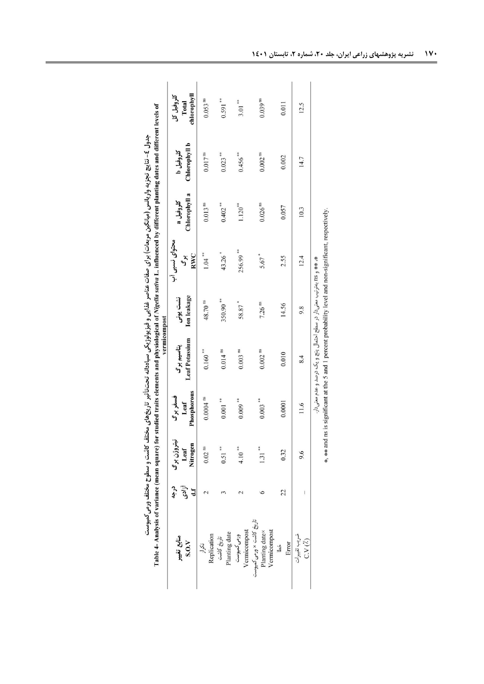<span id="page-7-0"></span>جدول کا بناچین (میانگین مربعات) برای صفات عناصر غذایی و فیزیولوژیکی سیاهانه تحت تأثیر تاریخهای مختلف و سطوح مختلف ورمی کمپوست<br>Table 4- Analysis of variance (mean square) for studied traits elements and physiological of *N* 

|                                                            |                                                |                                 |                                | vermicompost                                                             |                                |                             |                            |                            |                                    |
|------------------------------------------------------------|------------------------------------------------|---------------------------------|--------------------------------|--------------------------------------------------------------------------|--------------------------------|-----------------------------|----------------------------|----------------------------|------------------------------------|
| منابع تغيير<br>S.0.                                        | آزادى<br>درجه<br>$\mathbf{d} \cdot \mathbf{f}$ | نیتروژن برگ<br>Nitrogen<br>Leaf | Phosphorous<br>فسفربرگ<br>Leaf | <b>Leaf Potassium</b><br>پتاسیم برگ                                      | <b>Ion</b> leakage<br>نشت یونی | محتواي نسبى اب<br>RWC<br>ぶり | Chlorophyll a<br>کلروفیل a | Chlorophyll b<br>کلروفیل b | chlorophyll<br>كلروفيل كل<br>Total |
| Replication<br>تكرار                                       |                                                | $0.02$ <sup>ns</sup>            | $0.0004$ $^{\rm ns}$           | $0.160***$                                                               | 48.70 ns                       | $1.04***$                   | $0.013$ <sup>ms</sup>      | $0.017$ <sup>ns</sup>      | $0.053$ <sup>ns</sup>              |
| Planting date<br>تاريخ كاشت                                |                                                | $0.51$ **                       | $0.001***$                     | $0.014$ ns                                                               | 350.90**                       | $43.26$ <sup>*</sup>        | $0.402***$                 | $0.023***$                 | $0.591***$                         |
| ورمی کمپوست<br>Vermicompost                                |                                                | $4.10$ **                       | $0.009$ **                     | $0.003$ $^{\rm ns}$                                                      | 58.87*                         | 256.99**                    | $1.120***$                 | $0.456***$                 | $3.01***$                          |
| تاریخ کاشت × ورمی کمپوست<br>Planting date×<br>Vermicompost |                                                | $1.31***$                       | $0.003$ **                     | $0.002$ <sup>ms</sup>                                                    | $7.26$ ns                      | $5.67$ <sup>*</sup>         | 0.026 <sup>ns</sup>        | $0.002$ <sup>ns</sup>      | $0.039$ <sup>ns</sup>              |
| Error<br>ځتا                                               | 22                                             | 0.32                            | 0.0001                         | 0.010                                                                    | 14.56                          | 2.55                        | 0.057                      | 0.002                      | 0.011                              |
| ضريب تغييرات<br>$C.V(\lambda)$                             |                                                | 9.6                             | 11.6                           | 8.4                                                                      | 9.8                            | 12.4                        | 10.3                       | 14.7                       | 12.5                               |
|                                                            |                                                |                                 |                                | * * * و ans بهترتیب معنی دار در سطح احتمال پنج و یک درصد و عدم معنی دار. |                                |                             |                            |                            |                                    |
|                                                            |                                                |                                 |                                |                                                                          |                                |                             |                            |                            |                                    |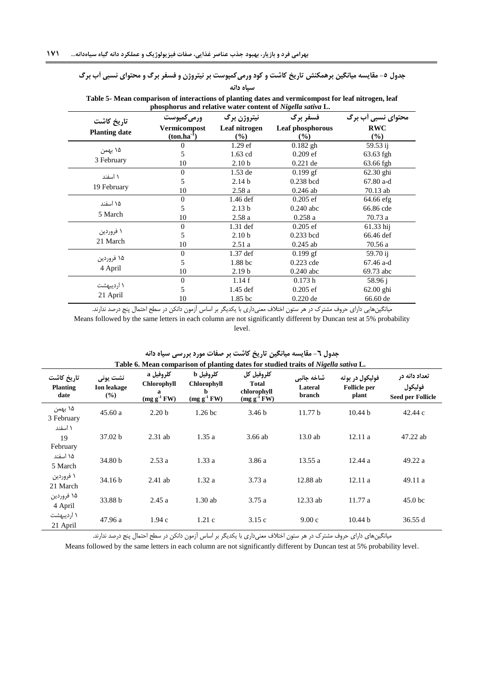#### **جدول -5 مقایسه میانگین برهمکنش تاریخ کاشت و کود ورمیکمپوست بر نیتروژن و فسفر برگ و محتوای نسبی آب برگ سیاه دانه**

|                      |                                 |                         | phosphorus and relative water content of Nigella sativa L. |                    |
|----------------------|---------------------------------|-------------------------|------------------------------------------------------------|--------------------|
| تاريخ كاشت           | <b>ورمی کمپوست</b>              | نيتروژن برگ             | فسفر برگ                                                   | محتوای نسبی أب برگ |
| <b>Planting date</b> | Vermicompost<br>$(ton.ha^{-1})$ | Leaf nitrogen<br>$(\%)$ | Leaf phosphorous<br>$\frac{9}{6}$                          | <b>RWC</b><br>(%)  |
|                      | 0                               | $1.29$ ef               | $0.182$ gh                                                 | 59.53 ij           |
| ۱۵ بهمن              | 5                               | 1.63 cd                 | $0.209$ ef                                                 | 63.63 fgh          |
| 3 February           | 10                              | 2.10 <sub>b</sub>       | $0.221$ de                                                 | 63.66 fgh          |
| ۱ اسفند              | $\boldsymbol{0}$                | $1.53$ de               | $0.199$ gf                                                 | $62.30$ ghi        |
|                      | 5                               | 2.14 <sub>b</sub>       | $0.238$ bcd                                                | 67.80 a-d          |
| 19 February          | 10                              | 2.58a                   | $0.246$ ab                                                 | 70.13 ab           |
| ۱۵ اسفند             | $\boldsymbol{0}$                | $1.46$ def              | $0.205$ ef                                                 | 64.66 efg          |
|                      | 5                               | 2.13 <sub>b</sub>       | $0.240$ abc                                                | 66.86 cde          |
| 5 March              | 10                              | 2.58a                   | 0.258a                                                     | 70.73 a            |
|                      | $\boldsymbol{0}$                | $1.31$ def              | $0.205$ ef                                                 | 61.33 hij          |
| ۱ فروردین            | 5                               | 2.10 <sub>b</sub>       | $0.233$ bcd                                                | 66.46 def          |
| 21 March             | 10                              | 2.51a                   | $0.245$ ab                                                 | 70.56 a            |
|                      | $\boldsymbol{0}$                | $1.37$ def              | $0.199$ gf                                                 | 59.70 ij           |
| ۱۵ فروردین           | 5                               | 1.88 <sub>bc</sub>      | $0.223$ cde                                                | 67.46 a-d          |
| 4 April              | 10                              | 2.19 <sub>b</sub>       | $0.240$ abc                                                | 69.73 abc          |
|                      | $\boldsymbol{0}$                | 1.14f                   | 0.173h                                                     | 58.96 j            |
| ۱ اردیبهشت           | 5                               | 1.45 def                | $0.205$ ef                                                 | $62.00$ ghi        |
| 21 April             | 10                              | 1.85 bc                 | $0.220$ de                                                 | 66.60 de           |

<span id="page-8-0"></span>**Table 5- Mean comparison of interactions of planting dates and vermicompost for leaf nitrogen, leaf** 

میانگینهایی دارای حروف مشترک در هر ستون اختلاف معنیداری با یکدیگر بر اساس آزمون دانکن در سطح احتمال پنج درصد ندارند. Means followed by the same letters in each column are not significantly different by Duncan test at 5% probability level.

|                                       |                                       |                                                           |                                                           | Table 6. Mean comparison of planting dates for studied traits of Nigella sativa L. |                                 |                                                 |                                                      |
|---------------------------------------|---------------------------------------|-----------------------------------------------------------|-----------------------------------------------------------|------------------------------------------------------------------------------------|---------------------------------|-------------------------------------------------|------------------------------------------------------|
| تاريخ كاشت<br><b>Planting</b><br>date | نشت یونی<br><b>Ion leakage</b><br>(%) | كلروفيل a<br><b>Chlorophyll</b><br>а<br>$(mg g^{-1} F W)$ | كلروفيل b<br><b>Chlorophyll</b><br>h<br>$(mg g^{-1} F W)$ | كلروفيل كل<br><b>Total</b><br>chlorophyll<br>$(mg g^{-1} F W)$                     | شاخه جانبي<br>Lateral<br>branch | فوليکول در بوته<br><b>Follicle per</b><br>plant | تعداد دانه در<br>فوليكول<br><b>Seed per Follicle</b> |
| ۱۵ بهمن<br>3 February                 | 45.60a                                | 2.20 <sub>b</sub>                                         | 1.26 <sub>bc</sub>                                        | 3.46 <sub>b</sub>                                                                  | 11.77 b                         | 10.44 b                                         | 42.44c                                               |
| ۱ اسفند<br>19<br>February             | 37.02 b                               | $2.31$ ab                                                 | 1.35a                                                     | 3.66 ab                                                                            | 13.0ab                          | 12.11a                                          | 47.22 ab                                             |
| ۱۵ اسفند<br>5 March                   | 34.80 b                               | 2.53a                                                     | 1.33a                                                     | 3.86a                                                                              | 13.55a                          | 12.44a                                          | 49.22 a                                              |
| ۱ فروردین<br>21 March                 | 34.16 b                               | $2.41$ ab                                                 | 1.32a                                                     | 3.73a                                                                              | $12.88$ ab                      | 12.11a                                          | 49.11 a                                              |
| ۱۵ فروردین<br>4 April                 | 33.88 b                               | 2.45a                                                     | 1.30ab                                                    | 3.75a                                                                              | $12.33$ ab                      | 11.77 a                                         | 45.0 <sub>bc</sub>                                   |
| ۱ اردیبهشت<br>21 April                | 47.96 a                               | 1.94c                                                     | 1.21c                                                     | 3.15c                                                                              | 9.00c                           | 10.44 b                                         | 36.55 d                                              |

# <span id="page-8-1"></span>**جدول -6 مقایسه میانگین تاریخ کاشت بر صفات مورد بررسی سیاه دانه**

میانگینهای دارای حروف مشترک در هر ستون اختلاف معنیداری با یکدیگر بر اساس آزمون دانکن در سطح احتمال پنج درصد ندارند.

Means followed by the same letters in each column are not significantly different by Duncan test at 5% probability level.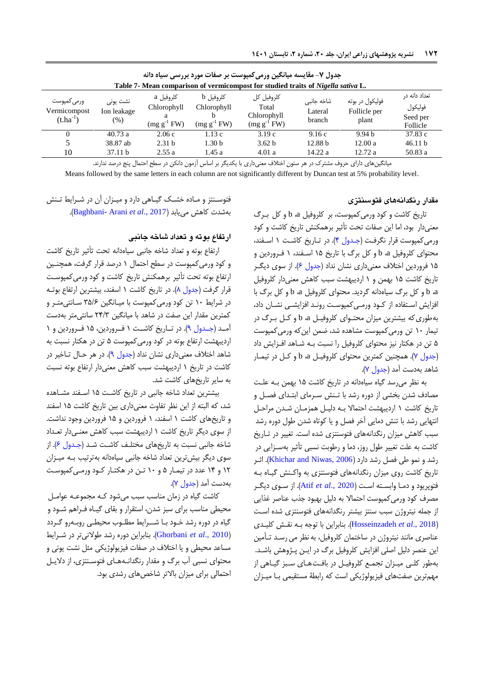|                                              |                                   |                                                    |                                               | جدول 7- مقایسه میانگین ورمی کمپوست بر صفات مورد بررسی سیاه دانه<br>Table 7- Mean comparison of vermicompost for studied traits of <i>Nigella sativa</i> L. |                                 |                                          |                                                  |
|----------------------------------------------|-----------------------------------|----------------------------------------------------|-----------------------------------------------|------------------------------------------------------------------------------------------------------------------------------------------------------------|---------------------------------|------------------------------------------|--------------------------------------------------|
| ورمی کمیوست<br>Vermicompost<br>$(t.ha^{-1})$ | نشت یونی<br>Ion leakage<br>$(\%)$ | کلروفیل a<br>Chlorophyll<br>a<br>$(mg g^{-1} F W)$ | کلروفیل b<br>Chlorophyll<br>$(mg g^{-1} F W)$ | كلروفيل كل<br>Total<br>Chlorophyll<br>$(mg g^{-1} FW)$                                                                                                     | شاخه جانبی<br>Lateral<br>branch | فوليکول در بوته<br>Follicle per<br>plant | تعداد دانه در<br>فوليكول<br>Seed per<br>Follicle |
|                                              | 40.73a                            | 2.06c                                              | 1.13c                                         | 3.19c                                                                                                                                                      | 9.16c                           | 9.94 <sub>b</sub>                        | 37.83 c                                          |
|                                              | 38.87 ab                          | 2.31 <sub>b</sub>                                  | 1.30 <sub>b</sub>                             | 3.62 b                                                                                                                                                     | 12.88 <sub>b</sub>              | 12.00a                                   | 46.11 b                                          |
| 10                                           | 37.11 b                           | 2.55a                                              | 1.45a                                         | 4.01a                                                                                                                                                      | 14.22 a                         | 12.72a                                   | 50.83 a                                          |

میانگینهای دارای حروف مشترک در هر ستون اختلاف معنیداری با یکدیگر بر اساس آزمون دانکن در سطح احتمال پنج درصد ندارند.

Means followed by the same letters in each column are not significantly different by Duncan test at 5% probability level.

### <span id="page-9-0"></span>**مقدار رنگدانههای فتوسنتزی**

تاریخ کاشت و کود ورمی کمپوست، بر کلروفیل a، b و کل برگ مینیدار بود، اما این صفات تحت تأثیر برهمکنش تاریخ کاشت و کود ورمی کمپوست قرار نگرفت (جدول ۴). در تاریخ کاشت ۱ اسفند، محتوای کلروفیل d، b و کل برگ با تاریخ ۱۵ اسـفند، ۱ فـروردین و ۱۵ فروردین اختلاف معنیداری نشان نداد (جدول ۶). از سوی دیگـر تاریخ کاشت 01 بهمن و 0 اردیبهشت سبب کاهش مینیدار کلروفی b، a و کل برگ سیاهدانه گردید. محتوای کلروفیل b، a و کل برگ با افزایش استفاده از کود ورمی کمپوست روند افزایشعی نشان داد، بهطوری که بیشترین میزان محتـوای کلروفیـل b، a و کـل بـرگ در تیمار 06 تن ورمیکمپوست مشاهده شد، ضمن اینکه ورمیکمپوست ۵ تن در هکتار نیز محتوای کلروفیل را نسبت بـه شـاهد افـزایش داد (جدول ٧). همچنین کمترین محتوای کلروفیـل a، b و کـل در تیمـار شاهد بهدست آمد (جدول ٧).

به نظر میرسد گیاه سیاهدانه در تاریخ کاشت 01 بهمن بعه علعت مصادف شدن بخشی از دوره رشد با تـنش سـرمای ابتـدای فصـل و تاریخ کاشت ۱ اردیبهشت احتمالا به دلیل همزمان شدن مراحل انتهایی رشد با تنش دمایی آخر فصل و یا کوتاه شدن طول دوره رشد سبب کاهش میزان رنگدانههای فتوسنتزی شده است. تغییر در تعاریخ کاشت به علت تغییر طول روز، دما و رطوبت نسبی تأثیر بهسعزایی در رشد و نمو طی فصل رشد دارد (Khichar and Niwas, 2006). اث تاریخ کاشت روی میزان رنگدانههای فتوسنتزی به واکعنش گیعاه بعه فتوپریود و دمعا وابسعته اسعت ) [2020 .,](#page-13-12)*al et* Atif). از سعوی دی گعر مصرف کود ورمی کمپوست احتمالا به دلیل بهبود جذب عناصر غذایی از جمله نیتروژن سبب سنتز بیشتر رنگدانههای فتوسنتزی شده اسعت )2018 .,*al et* [Hosseinzadeh](#page-13-13)). بنابراین با توجه بعه نقعش کلیعدی عناصری مانند نیتروژن در ساختمان کلروفیل، به نظر می رسـد تـأمین این عنصر دلیل اصلی افزایش کلروفیل برگ در ایـن پـژوهش باشـد. بهطور کلبی میـزان تجمـع کلروفیـل در بافـتھـای سـبز گیـاهی از مهم ترین صفتهای فیزیولوژیکی است که رابطۀ مستقیمی بـا میـزان

فتوسـنتز و ماده خشـک گیـاهی دارد و میـزان آن در شـرایط تـنش .)[Baghbani-](#page-13-14) Arani *et al*., 2017( مییابد کاهش بهشدت

#### ارتفاع بوته و تعداد شاخه جانبی

ارتفاع بوته و تیداد شاخه جانبی سیاهدانه تحت تأثیر تاریخ کاشت و کود ورمیکمپوست در سطح احتمال 0 درصد قرار گرفت، همچنعین ارتفاع بوته تحت تأثیر برهمکنش تاریخ کاشت و کود ورمیکمپوسعت قرار گرفت (جدول ۸). در تاریخ کاشت ۱ اسفند، بیشترین ارتفاع بوتـه در شرایط ۱۰ تن کود ورمیکمپوست با میـانگین ۳۵/۶ سـانتی متـر و کمترین مقدار این صفت در شاهد با میانگین 42/9 سانتیمتر بهدست آمـد (جـدول ۹). در تــاریخ کاشــت ۱ فــروردین، ۱۵ فــروردین و ۱ اردیبهشت ارتفاع بوته در کود ورمیکمپوست 1 تن در هکتار نسبت به شاهد اختلاف معنیداری نشان نداد (جدول ۹). در هر حـال تــاخیر در کاشت در تاریخ 0 اردیبهشت سبب کاهش مینیدار ارتفاع بوته نسبت به سایر تاریخهای کاشت شد.

بیشترین تعداد شاخه جانبی در تاریخ کاشت ١۵ اسـفند مشاهده شد، که البته از این نظر تفاوت مینیداری بین تاریخ کاشت 01 اسفند و تاریخهای کاشت 0 اسفند، 0 فروردین و 01 فروردین وجود نداشت. از سوی دیگر تاریخ کاشت 0 اردیبهشت سبب کاهش مینعی دار تیعداد شاخه جانبی نسبت به تاریخهای مختلف کاشت شد (جدول ۶). از سوی دیگر بیشترین تیداد شاخه جانبی سیاهدانه بهترتیب بعه میعزان 04 و 02 عدد در تیمعار 1 و 06 تعن در هکتعار کعود ورمعی کمپوسعت بهدست آمد (جدول Y).

کاشت گیاه در زمان مناسب سبب میشود که مجموعـه عوامـل محیطی مناسب برای سبز شدن، استقرار و بقای گیـاه فـراهم شـود و گیاه در دوره رشد خـود بـا شــرایط مطلـوب محیطـی روبـهرو گـردد )2010 .,*al et* [Ghorbani](#page-13-15)). بنابراین دوره رشد طوالنیتر در شعرایط مساعد محیطی و یا اختلاف در صفات فیزیولوژیکی مثل نشت یونی و محتوای نسبی آب برگ و مقدار رنگدانـههـای فتوسـنتزی، از دلایـل احتمالی برای میزان بالاتر شاخصهای رشدی بود.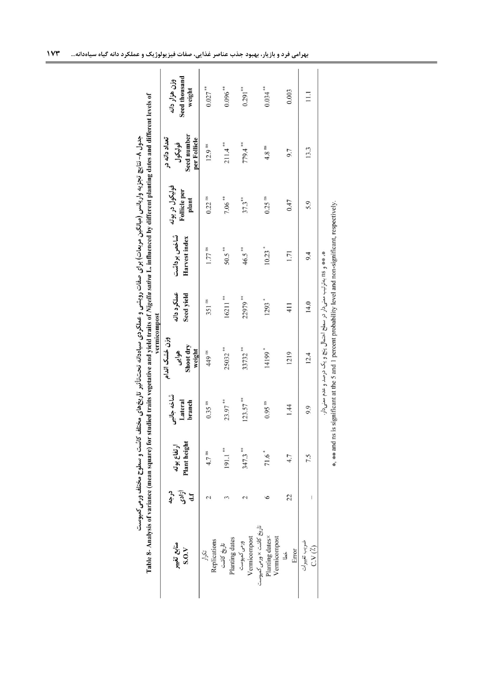<span id="page-10-0"></span>

|                                                             |                      |                             |                                 | vermicompost<br>وزن خشك اندام                                          |                           |                              |                                                 | تعداد دانه در                          |                                          |
|-------------------------------------------------------------|----------------------|-----------------------------|---------------------------------|------------------------------------------------------------------------|---------------------------|------------------------------|-------------------------------------------------|----------------------------------------|------------------------------------------|
| منابع تغيير<br>S.0. V                                       | آزادی<br>کله<br>درجه | Plant height<br>ارتفاع بوته | شاخه جانبي<br>Lateral<br>branch | Shoot dry<br>weight<br>هوايى                                           | عملكرد دانه<br>Seed yield | شاخص برداشت<br>Harvest index | فوليکول در بوته<br><b>Follicle</b> per<br>plant | Seed number<br>per Follicle<br>فوليكول | Seed thousand<br>وزن هزار دانه<br>weight |
| Replications<br>تكرار                                       |                      | $4.7$ <sup>ns</sup>         | $0.35$ <sup>ms</sup>            | 449 ns                                                                 | $351$ ns                  | $1.77$ $^{\rm ns}$           | $0.22$ <sup>ns</sup>                            | 12.9 <sup>ns</sup>                     | $0.027***$                               |
| Planting dates<br>تاريخ كاشت                                |                      | $191.1$ **                  | $23.97***$                      | 25032**                                                                | 16211                     | $50.5***$                    | $7.06***$                                       | $211.4$ **                             | $0.096***$                               |
| Vermicompost<br>ورمى كمپوست                                 |                      | $347.3***$                  | $123.57$ **                     | 33732**                                                                | 22979**                   | $46.5***$                    | $37.3$ **                                       | 779.4**                                | $0.291***$                               |
| تاریخ کاشت × ورمی کمپوست<br>Planting dates×<br>Vermicompost |                      | 71.6                        | $0.95$ <sup>ms</sup>            | 14199*                                                                 | $1293$ <sup>*</sup>       | $10.23$ <sup>*</sup>         | $0.25$ <sup>ms</sup>                            | $4.8$ <sup>ns</sup>                    | $0.034***$                               |
| Error<br>ئ                                                  | 22                   | 4.7                         | 1.44                            | 1219                                                                   | 411                       | 1.71                         | 0.47                                            | 9.7                                    | 0.003                                    |
| ضريب تغييرات<br>$C.V(\lambda)$                              |                      | 7.5                         | 9.9                             | 12.4                                                                   | 14.0                      | 9.4                          | 5.9                                             | 13.3                                   | $\Xi$                                    |
|                                                             |                      |                             |                                 | * * * 118 بەترتىب معنى دار در سطح احتمال پنج و يک درصد و عدم معنى دار. |                           |                              |                                                 |                                        |                                          |
|                                                             |                      |                             |                                 |                                                                        |                           |                              |                                                 |                                        |                                          |

|                  | nce                             |
|------------------|---------------------------------|
|                  |                                 |
| متلك ورمى تمپوست | The art<br>$\ddot{\phantom{0}}$ |
|                  |                                 |
|                  | $\blacksquare$<br>j             |
|                  | able 8                          |
|                  |                                 |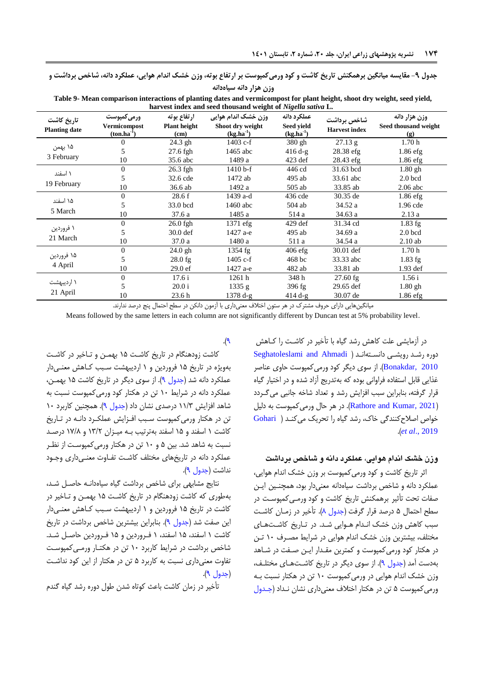**جدول -9 مقایسه میانگین برهمکنش تاریخ کاشت و کود ورمیکمپوست بر ارتفاع بوته، وزن خشک اندام هوایی، عملکرد دانه، شاخص برداشت و وزن هزار دانه سیاهدانه**

**Table 9- Mean comparison interactions of planting dates and vermicompost for plant height, shoot dry weight, seed yield, harvest index and seed thousand weight of** *Nigella sativa* **L.** 

| تاريخ كاشت<br><b>Planting date</b> | <b>ورمی کمپوست</b><br>Vermicompost<br>$(ton.ha^{-1})$ | ارتفاع بوته<br><b>Plant height</b><br>(cm) | وزن خشک اندام هوایی<br>Shoot dry weight<br>$(kg.ha^{-1})$ | عملكرد دانه<br>Seed yield<br>$(kg.ha^{-1})$ | شاخص برداشت<br><b>Harvest index</b> | وزن هزار دانه<br>Seed thousand weight<br>$\left( \mathbf{g} \right)$ |
|------------------------------------|-------------------------------------------------------|--------------------------------------------|-----------------------------------------------------------|---------------------------------------------|-------------------------------------|----------------------------------------------------------------------|
|                                    | 0                                                     | $24.3$ gh                                  | $1403$ c-f                                                | 380 gh                                      | 27.13 g                             | 1.70h                                                                |
| ۱۵ بهمن                            | 5                                                     | $27.6$ fgh                                 | 1465 abc                                                  | $416 d-g$                                   | $28.38$ efg                         | $1.86$ efg                                                           |
| 3 February                         | 10                                                    | 35.6 abc                                   | 1489 a                                                    | $423$ def                                   | 28.43 efg                           | $1.86$ efg                                                           |
| ۱ اسفند                            | $\Omega$                                              | $26.3$ fgh                                 | $1410 b-f$                                                | 446 cd                                      | 31.63 bcd                           | $1.80$ gh                                                            |
|                                    | 5                                                     | 32.6 cde                                   | 1472 ab                                                   | 495 ab                                      | 33.61 abc                           | $2.0$ bcd                                                            |
| 19 February                        | 10                                                    | 36.6 ab                                    | 1492 a                                                    | 505 ab                                      | 33.85 ab                            | $2.06$ abc                                                           |
| ۱۵ اسفند                           | $\Omega$                                              | 28.6f                                      | 1439 a-d                                                  | $436$ cde                                   | 30.35 de                            | 1.86 efg                                                             |
|                                    | 5                                                     | 33.0 bcd                                   | 1460 abc                                                  | 504 ab                                      | 34.52 a                             | 1.96 cde                                                             |
| 5 March                            | 10                                                    | 37.6 a                                     | 1485 a                                                    | 514 a                                       | 34.63a                              | 2.13a                                                                |
|                                    | $\Omega$                                              | $26.0$ fgh                                 | $1371$ efg                                                | $429$ def                                   | 31.34 cd                            | $1.83$ fg                                                            |
| ۱ فروردین                          | 5                                                     | $30.0$ def                                 | 1427 a-e                                                  | 495 ab                                      | 34.69 a                             | $2.0$ bcd                                                            |
| 21 March                           | 10                                                    | 37.0a                                      | 1480 a                                                    | 511 a                                       | 34.54 a                             | $2.10$ ab                                                            |
|                                    | $\Omega$                                              | 24.0 gh                                    | $1354$ fg                                                 | $406$ efg                                   | 30.01 def                           | 1.70h                                                                |
| ۱۵ فروردین                         | 5                                                     | $28.0$ fg                                  | 1405 c-f                                                  | 468 bc                                      | 33.33 abc                           | $1.83$ fg                                                            |
| 4 April                            | 10                                                    | 29.0ef                                     | 1427 a-e                                                  | 482 ab                                      | 33.81 ab                            | $1.93$ def                                                           |
|                                    | $\Omega$                                              | 17.6 i                                     | 1261h                                                     | 348 h                                       | $27.60$ fg                          | 1.56i                                                                |
| ۱ اردیبهشت                         | 5                                                     | 20.0 i                                     | 1335 g                                                    | 396 fg                                      | 29.65 def                           | $1.80$ gh                                                            |
| 21 April                           | 10                                                    | 23.6 <sub>h</sub>                          | 1378 d-g                                                  | $414 d-g$                                   | 30.07 de                            | 1.86 efg                                                             |

میانگینهایی دارای حروف مشترک در هر ستون اختلاف معنیداری با آزمون دانکن در سطح احتمال پنج درصد ندارند.

Means followed by the same letters in each column are not significantly different by Duncan test at 5% probability level.

<span id="page-11-0"></span>در آزمایشی علت کاهش رشد گیاه با تأخیر در کاشعت را کعاهش دوره رشعد رویشعی دانسعته ا[نع](#page-14-15)د ) [Ahmadi and Seghatoleslami](#page-14-15) [2010 ,Bonakdar](#page-14-15)). از سوی دیگر کود ورمیکمپوست حاوی عناصر غذایی قابل استفاده فراوانی بوده که بهتدریج آزاد شده و در اختیار گیاه قرار گرفته، بنابراین سبب افزایش رشد و تیداد شاخه جانبی میگعردد )[2021 ,Kumar and Rathore](#page-14-16)). در هر حال ورمیکمپوست به دلی خواص اصلاح کنندگی خاک، رشد گیاه را تحریک می کنـد ( [Gohari](#page-13-16) .)*et al*[., 2019](#page-13-16)

### وزن خشک اندام هوایی، عملکرد دانه و شاخص برداشت

اثر تاریخ کاشت و کود ورمیکمپوست بر وزن خشک اندام هوایی، عملکرد دانه و شاخص برداشت سیاهدانه معنیدار بود، همچنـین ایـن صفات تحت تأثیر برهمکنش تاریخ کاشت و کود ورمعی کمپوسعت در سطح احتمال ۵ درصد قرار گرفت ([جدول](#page-10-0) ۸). تأخیر در زمـان کاشـت سبب کاهش وزن خشک انـدام هـوایی شـد. در تـاریخ کاشـتهـای مختلف، بیشترین وزن خشک اندام هوایی در شرایط مصـرف ۱۰ تـن در هکتار کود ورمی کمپوست و کمترین مقـدار ایـن صـفت در شـاهد بهدست آمد (جدول ۹). از سوی دیگر در تاریخ کاشتهای مختلف، وزن خشک اندام هوایی در ورمیکمپوست 06 تن در هکتار نسبت بعه ورمی کمپوست ۵ تن در هکتار اختلاف معنیداری نشان نـداد (جـدول

۹).

کاشت زودهنگام در تاریخ کاشعت 01 بهمعن و تعاخیر در کاشعت بهویژه در تاریخ 01 فروردین و 0 اردیبهشت سعبب کعاهش مینعی دار عملکرد دانه شد [\)جدول 1\(.](#page-11-0) از سوی دیگر در تاریخ کاشت 01 بهمعن، عملکرد دانه در شرایط 06 تن در هکتار کود ورمیکمپوست نسبت به شاهد افزایش ۱۱/۳ درصدی نشان داد (جدول ۹). همچنین کاربرد ۱۰ تن در هکتار ورمی کمپوست سـبب افـزایش عملکـرد دانـه در تـاریخ کاشت 0 اسفند و 01 اسفند بهترتیب بعه میعزان 09/4 و 01/8 درصعد نسبت به شاهد شد. بین 1 و 06 تن در هکتار ورمیکمپوسعت از نظعر عملکرد دانه در تاریخهای مختلف کاشت تفـاوت معنـیداری وجـود نداشت (جدول ۹).

نتایج مشابهی برای شاخص برداشت گیاه سیاهدانه حاصل شد، بهطوری که کاشت زودهنگام در تاریخ کاشعت 01 بهمعن و تعاخیر در کاشت در تاریخ ۱۵ فروردین و ۱ اردیبهشت سـبب کـاهش معنـیدار این صفت شد (جدول ۹). بنابراین بیشترین شاخص برداشت در تاریخ کاشت 0 اسفند، 01 اسفند، 0 فعروردین و 01 فعروردین حاصع شعد. شاخص برداشت در شرایط کاربرد ۱۰ تن در هکتـار ورمـی کمپوسـت تفاوت مینیداری نسبت به کاربرد 1 تن در هکتار از این کود نداشعت [\)جدول 1\(](#page-11-0).

تأخیر در زمان کاشت باعث کوتاه شدن طول دوره رشد گیاه گندم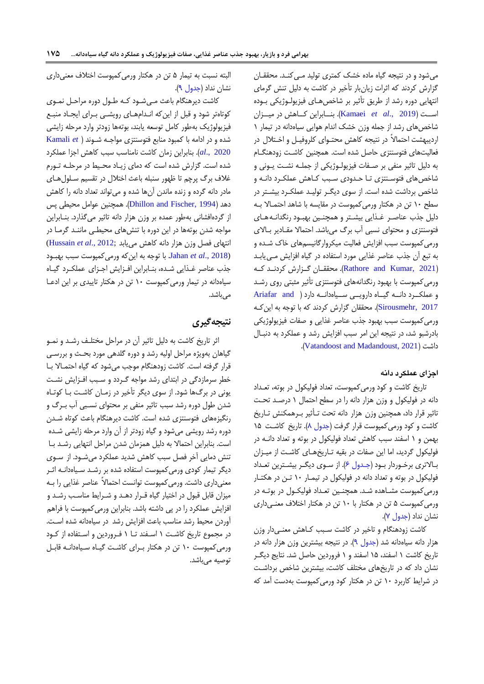میشود و در نتیجه گیاه ماده خشک کمتری تولید می کنـد. محققـان گزارش کردند که اثرات زیانبار تأخیر در کاشت به دلیل تنش گرمای انتهایی دوره رشد از طریق تأثیر بر شاخصهای فیزیولوژیکی بوده اسععت )2019 .,*al et* [Kamaei](#page-14-17)). بنععابراین کععاهش در میععزان شاخص های رشد از جمله وزن خشک اندام هوایی سیاهدانه در تیمار ١ اردیبهشت احتمالاً در نتیجه کاهش محتـوای کلروفیـل و اخـتلال در فعالیتهای فتوسنتزی حاصل شده است. همچنین کاشت زودهنگام به دلیل تاثیر منفی بر صـفات فیزیولـوژیکی از جملـه نشـت یـونی و شاخص های فتوسـنتزی تـا حـدودی سـبب کـاهش عملکـرد دانـه و شاخص برداشت شده است. از سوی دیگر تولیـد عملکـرد بیشـتر در سطح ١٠ تن در هکتار ورمیکمپوست در مقایسه با شاهد احتمـالا بـه دلیل جذب عناصر غذایی بیشتر و همچنین بهبود رنگدانـه هـای فتوسنتزی و محتوای نسبی آب برگ میباشد. احتمالا مقـادیر بـالای ورمیکمپوست سبب افزایش فیالیت میکروارگانیس،های خاک شعده و به تبع آن جذب عناصر غذایی مورد استفاده در گیاه افزایش معی یابعد )[2021 ,Kumar and Rathore](#page-14-16)). محققععان گععزارش کردنععد کععه ورمیکمپوست با بهبود رنگدانههای فتوسنتزی تأثیر مثبتی روی رشعد و عملک رد دانـه گیاه دارویـی سـیاه دانـه Ariafar and ) [2017 ,Sirousmehr](#page-13-17)). محققان گزارش کردند که با توجه به اینکعه ورمیکمپوست سبب بهبود جذب عناصر غذایی و صفات فیزیولوژیکی بادرشبو شد، در نتیجه این امر سبب افزایش رشد و عملکرد به دنبعال .)[Vatandoost and Madandoust, 2021](#page-15-0)( داشت

#### اجزا*ی* عملکرد دانه

تاریخ کاشت و کود ورمیکمپوست، تیداد فولیکول در بوته، تیعداد دانه در فولیکول و وزن هزار دانه را در سطح احتمال 0 درصعد تحعت تاثیر قرار داد، همچنین وزن هزار دانه تحت تـأثیر بـرهمکنش تـاریخ کاشت و کود ورمی کمپوست قرار گرفت ([جدول](#page-10-0) ۸). تاریخ کاشت ۱۵ بهمن و 0 اسفند سبب کاهش تیداد فولیکول در بوته و تیداد دانعه در فولیکول گردید، اما این صفات در بقیه تاریخهای کاشت از میهزان بـالاتری برخـوردار بـود (جـدول ۶). از سـوی دیگـر بیشـترین تعـداد فولیکول در بوته و تعداد دانه در فولیکول در تیمـار ١٠ تـن در هکتـار ورمیکمپوست مشعاهده شعد. همچنعین تیعداد فولیکعول در بوتعه در ورمی کمپوست ۵ تن در هکتار با ۱۰ تن در هکتار اختلاف معنی داری نشان نداد (جدول ۷).

کاشت زودهنگام و تاخیر در کاشت سبب کـاهش معنـیدار وزن هزار دانه سیاهدانه شد (جدول ۹). در نتیجه بیشترین وزن هزار دانه در تاریخ کاشت ۱ اسفند، ۱۵ اسفند و ۱ فروردین حاصل شد. نتایج دیگ نشان داد که در تاریخهای مختلف کاشت، بیشترین شاخص برداشت در شرایط کاربرد 06 تن در هکتار کود ورمیکمپوست بهدست آمد که

البته نسبت به تیمار 1 تن در هکتار ورمیکمپوست اختی مینیداری نشان نداد (جدول ۹).

کاشت دیرهنگام باعث مے شود کـه طـول دوره مراحـل نمـوی کوتاهتر شود و قبل از این که انـدامهـای رویشـی بـرای ایجـاد منبـع فیزیولوژیک بهطور کامل توسعه یابند، بوتهها زودتر وارد مرحله زایشی شده و در ادامه با کمبود منابع فتوسنتزی مواجعه شعون[د](#page-14-18) ) *et* [Kamali](#page-14-18) [2020 .,](#page-14-18)*al*). بنابراین زمان کاشت نامناسب سبب کاهش اجزا عملکرد شده است. گزارش شده است که دمای زیعاد محعیط در مرحلعه تعورم غلاف برگ پرچم تا ظهور سنبله باعث اختلال در تقسیم سلول های مادر دانه گرده و زنده ماندن آنها شده و میتواند تیداد دانه را کاهش دهد (Dhillon and Fischer, 1994). همچنین عوامل محیطی پس از گردهافشانی بهطور عمده بر وزن هزار دانه تاثیر میگذارد. بنعابراین مواجه شدن بوتهها در این دوره با تنشهای محیطعی ماننعد گرمعا در انتهای فصل وزن هزار دانه کاهش مییابد ;Hussain et al., 2012) [\(2018 .,](#page-14-19)*al et* Jahan. با توجه به اینکه ورمیکمپوست سبب بهبعود جذب عناصر غـذایی شـده، بنـابراین افـزایش اجـزای عملکـرد گیـاه سیاهدانه در تیمار ورمیکمپوست 06 تن در هکتار تاییدی بر این ادععا میباشد.

### **نتیجهگیری**

اثر تاریخ کاشت به دلیل تاثیر آن در مراحل مختلـف رشـد و نمـو گیاهان بهویژه مراحل اولیه رشد و دوره گلدهی مورد بحـث و بررسـی قرار گرفته است. کاشت زودهنگام موجب میشود که گیاه احتمـالا بـا خطر سرمازدگی در ابتدای رشد مواجه گـردد و سـبب افـزایش نشـت یونی در برگها شود. از سوی دیگر تأخیر در زمـان کاشـت بـا کوتـاه شدن طول دوره رشد سبب تاثیر منفی بر محتوای نسعبی آب بعرگ و رنگیزههای فتوسنتزی شده است. کاشت دیرهنگام باعث کوتاه شدن دوره رشد رویشی میشود و گیاه زودتر از آن وارد مرحله زایشی شعده است. بنابراین احتمالا به دلیل همزمان شدن مراحل انتهایی رشـد بـا تنش دمایی آخر فصل سبب کاهش شدید عملکرد میشـود. از سـوی دیگر تیمار کودی ورمیکمپوست استفاده شده بر رشـد سـیاهدانـه اثـر مینیداری داشت. ورمیکمپوست توانست احتماالً عناصر غذایی را بعه میزان قابل قبول در اختیار گیاه قـرار دهـد و شـرایط مناسـب رشـد و افزایش عملکرد را در پی داشته باشد. بنابراین ورمیکمپوست با فراه، آوردن محیط رشد مناسب باعث افزایش رشد در سیاهدانه شده است. در مجموع تاریخ کاشـت ۱ اسـفند تـا ۱ فـروردین و اسـتفاده از کـود ورمی کمپوست ١٠ تن در هکتار بهرای کاشت گیاه سهاهدانـه قابـل توصیه میباشد.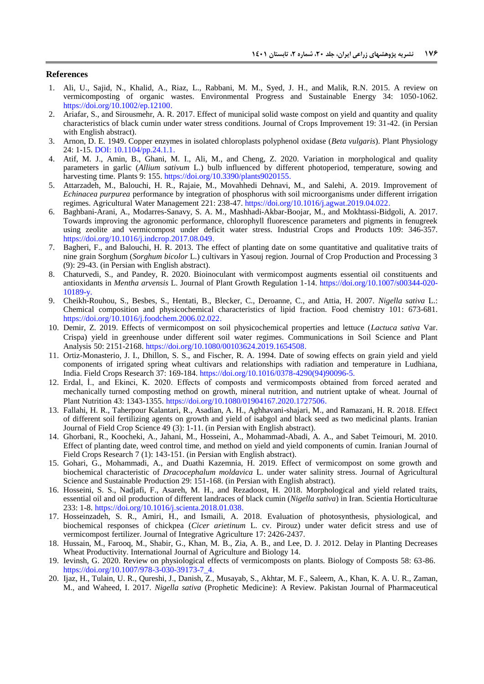#### **References**

- <span id="page-13-4"></span>1. Ali, U., Sajid, N., Khalid, A., Riaz, L., Rabbani, M. M., Syed, J. H., and Malik, R.N. 2015. A review on vermicomposting of organic wastes. Environmental Progress and Sustainable Energy 34: 1050-1062. [https://doi.org/10.1002/ep.12100.](https://doi.org/10.1002/ep.12100)
- <span id="page-13-17"></span>2. Ariafar, S., and Sirousmehr, A. R. 2017. Effect of municipal solid waste compost on yield and quantity and quality characteristics of black cumin under water stress conditions. Journal of Crops Improvement 19: 31-42. (in Persian with English abstract).
- <span id="page-13-8"></span>3. Arnon, D. E. 1949. Copper enzymes in isolated chloroplasts polyphenol oxidase (*Beta vulgaris*). Plant Physiology 24: 1-15. DOI: [10.1104/pp.24.1.1.](https://doi.org/10.1104%2Fpp.24.1.1)
- <span id="page-13-12"></span>4. Atif, M. J., Amin, B., Ghani, M. I., Ali, M., and Cheng, Z. 2020. Variation in morphological and quality parameters in garlic (*Allium sativum* L.) bulb influenced by different photoperiod, temperature, sowing and harvesting time. Plants 9: 155. [https://doi.org/10.3390/plants9020155.](https://doi.org/10.3390/plants9020155)
- <span id="page-13-3"></span>5. Attarzadeh, M., Balouchi, H. R., Rajaie, M., Movahhedi Dehnavi, M., and Salehi, A. 2019. Improvement of *Echinacea purpurea* performance by integration of phosphorus with soil microorganisms under different irrigation regimes. Agricultural Water Management 221: 238-47. [https://doi.org/10.1016/j.agwat.2019.04.022.](https://doi.org/10.1016/j.agwat.2019.04.022)
- <span id="page-13-14"></span>6. Baghbani-Arani, A., Modarres-Sanavy, S. A. M., Mashhadi-Akbar-Boojar, M., and Mokhtassi-Bidgoli, A. 2017. Towards improving the agronomic performance, chlorophyll fluorescence parameters and pigments in fenugreek using zeolite and vermicompost under deficit water stress. Industrial Crops and Products 109: 346-357. [https://doi.org/10.1016/j.indcrop.2017.08.049.](https://doi.org/10.1016/j.indcrop.2017.08.049)
- <span id="page-13-9"></span>7. Bagheri, F., and Balouchi, H. R. 2013. The effect of planting date on some quantitative and qualitative traits of nine grain Sorghum (*Sorghum bicolor* L.) cultivars in Yasouj region. Journal of Crop Production and Processing 3 (9): 29-43. (in Persian with English abstract).
- <span id="page-13-6"></span>8. Chaturvedi, S., and Pandey, R. 2020. Bioinoculant with vermicompost augments essential oil constituents and antioxidants in *Mentha arvensis* L. Journal of Plant Growth Regulation 1-14. https://doi.org/10.1007/s00344-020- 10189-y.
- <span id="page-13-2"></span>9. Cheikh-Rouhou, S., Besbes, S., Hentati, B., Blecker, C., Deroanne, C., and Attia, H. 2007. *Nigella sativa* L.: Chemical composition and physicochemical characteristics of lipid fraction. Food chemistry 101: 673-681. [https://doi.org/10.1016/j.foodchem.2006.02.022.](https://doi.org/10.1016/j.foodchem.2006.02.022)
- <span id="page-13-11"></span>10. Demir, Z. 2019. Effects of vermicompost on soil physicochemical properties and lettuce (*Lactuca sativa* Var. Crispa) yield in greenhouse under different soil water regimes. Communications in Soil Science and Plant Analysis 50: 2151-2168. [https://doi.org/10.1080/00103624.2019.1654508.](https://doi.org/10.1080/00103624.2019.1654508)
- <span id="page-13-18"></span>11. Ortiz-Monasterio, J. I., Dhillon, S. S., and Fischer, R. A. 1994. Date of sowing effects on grain yield and yield components of irrigated spring wheat cultivars and relationships with radiation and temperature in Ludhiana, India. Field Crops Research 37: 169-184. [https://doi.org/10.1016/0378-4290\(94\)90096-5.](https://doi.org/10.1016/0378-4290(94)90096-5)
- <span id="page-13-10"></span>12. Erdal, İ., and Ekinci, K. 2020. Effects of composts and vermicomposts obtained from forced aerated and mechanically turned composting method on growth, mineral nutrition, and nutrient uptake of wheat. Journal of Plant Nutrition 43: 1343-135[5.](https://doi.org/10.1080/01904167.2020.1727506) [https://doi.org/10.1080/01904167.2020.1727506.](https://doi.org/10.1080/01904167.2020.1727506)
- <span id="page-13-7"></span>13. Fallahi, H. R., Taherpour Kalantari, R., Asadian, A. H., Aghhavani-shajari, M., and Ramazani, H. R. 2018. Effect of different soil fertilizing agents on growth and yield of isabgol and black seed as two medicinal plants. Iranian Journal of Field Crop Science 49 (3): 1-11. (in Persian with English abstract).
- <span id="page-13-15"></span>14. Ghorbani, R., Koocheki, A., Jahani, M., Hosseini, A., Mohammad-Abadi, A. A., and Sabet Teimouri, M. 2010. Effect of planting date, weed control time, and method on yield and yield components of cumin. Iranian Journal of Field Crops Research 7 (1): 143-151. (in Persian with English abstract).
- <span id="page-13-16"></span>15. Gohari, G., Mohammadi, A., and Duathi Kazemnia, H. 2019. Effect of vermicompost on some growth and biochemical characteristic of *Dracocephalum moldavica* L. under water salinity stress. Journal of Agricultural Science and Sustainable Production 29: 151-168. (in Persian with English abstract).
- <span id="page-13-1"></span>16. Hosseini, S. S., Nadjafi, F., Asareh, M. H., and Rezadoost, H. 2018. Morphological and yield related traits, essential oil and oil production of different landraces of black cumin (*Nigella sativa*) in Iran. Scientia Horticulturae 233: 1-8[.](https://doi.org/10.1016/j.scienta.2018.01.038) [https://doi.org/10.1016/j.scienta.2018.01.038.](https://doi.org/10.1016/j.scienta.2018.01.038)
- <span id="page-13-13"></span>17. Hosseinzadeh, S. R., Amiri, H., and Ismaili, A. 2018. Evaluation of photosynthesis, physiological, and biochemical responses of chickpea (*Cicer arietinum* L. cv. Pirouz) under water deficit stress and use of vermicompost fertilizer. Journal of Integrative Agriculture 17: 2426-2437.
- <span id="page-13-19"></span>18. Hussain, M., Farooq, M., Shabir, G., Khan, M. B., Zia, A. B., and Lee, D. J. 2012. Delay in Planting Decreases Wheat Productivity. International Journal of Agriculture and Biology 14.
- <span id="page-13-5"></span>19. Ievinsh, G. 2020. Review on physiological effects of vermicomposts on plants. Biology of Composts 58: 63-86. https://doi.org/10.1007/978-3-030-39173-7\_4.
- <span id="page-13-0"></span>20. Ijaz, H., Tulain, U. R., Qureshi, J., Danish, Z., Musayab, S., Akhtar, M. F., Saleem, A., Khan, K. A. U. R., Zaman, M., and Waheed, I. 2017. *Nigella sativa* (Prophetic Medicine): A Review. Pakistan Journal of Pharmaceutical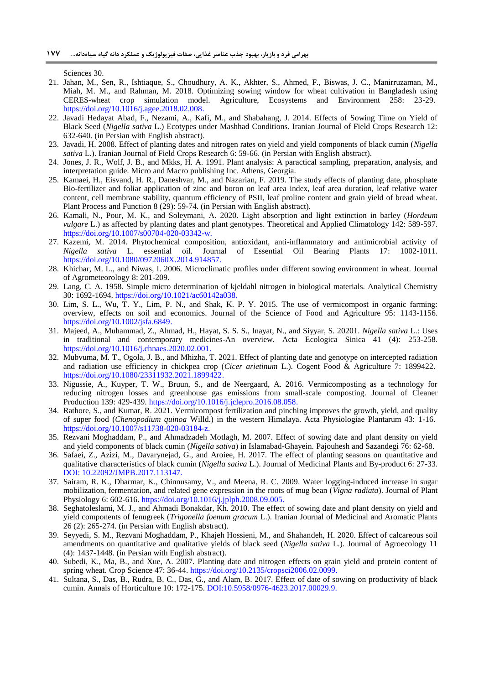Sciences 30.

- <span id="page-14-19"></span>21. Jahan, M., Sen, R., Ishtiaque, S., Choudhury, A. K., Akhter, S., Ahmed, F., Biswas, J. C., Manirruzaman, M., Miah, M. M., and Rahman, M. 2018. Optimizing sowing window for wheat cultivation in Bangladesh using CERES-wheat crop simulation model[.](https://doi.org/10.1016/j.agee.2018.02.008) Agriculture, Ecosystems and Environment 258: [https://doi.org/10.1016/j.agee.2018.02.008.](https://doi.org/10.1016/j.agee.2018.02.008)
- 22. Javadi Hedayat Abad, F., Nezami, A., Kafi, M., and Shabahang, J. 2014. Effects of Sowing Time on Yield of Black Seed (*Nigella sativa* L.) Ecotypes under Mashhad Conditions. Iranian Journal of Field Crops Research 12: 632-640. (in Persian with English abstract).
- <span id="page-14-5"></span>23. Javadi, H. 2008. Effect of planting dates and nitrogen rates on yield and yield components of black cumin (*Nigella sativa* L.). Iranian Journal of Field Crops Research 6: 59-66. (in Persian with English abstract).
- <span id="page-14-9"></span>24. Jones, J. R., Wolf, J. B., and Mkks, H. A. 1991. Plant analysis: A paractical sampling, preparation, analysis, and interpretation guide. Micro and Macro publishing Inc. Athens, Georgia.
- <span id="page-14-17"></span>25. Kamaei, H., Eisvand, H. R., Daneshvar, M., and Nazarian, F. 2019. The study effects of planting date, phosphate Bio-fertilizer and foliar application of zinc and boron on leaf area index, leaf area duration, leaf relative water content, cell membrane stability, quantum efficiency of PSII, leaf proline content and grain yield of bread wheat. Plant Process and Function 8 (29): 59-74. (in Persian with English abstract).
- <span id="page-14-18"></span>26. Kamali, N., Pour, M. K., and Soleymani, A. 2020. Light absorption and light extinction in barley (*Hordeum vulgare* L.) as affected by planting dates and plant genotypes. Theoretical and Applied Climatology 142: 589-597. https://doi.org/10.1007/s00704-020-03342-w.
- <span id="page-14-0"></span>27. Kazemi, M. 2014. Phytochemical composition, antioxidant, anti-inflammatory and antimicrobial activity of Nigella sativa L. essential oil. Journal of Essential Oil Bearing Plants 17: 1002-1011. *Nigella sativa* L. essential oil. Journal of Essential Oil Bearing Plants 17: 1002-1011. [https://doi.org/10.1080/0972060X.2014.914857.](https://doi.org/10.1080/0972060X.2014.914857)
- <span id="page-14-14"></span>28. Khichar, M. L., and Niwas, I. 2006. Microclimatic profiles under different sowing environment in wheat. Journal of Agrometeorology 8: 201-209.
- <span id="page-14-8"></span>29. Lang, C. A. 1958. Simple micro determination of kjeldahl nitrogen in biological materials. Analytical Chemistry 30: 1692-1694. [https://doi.org/10.1021/ac60142a038.](https://doi.org/10.1021/ac60142a038)
- <span id="page-14-6"></span>30. Lim, S. L., Wu, T. Y., Lim, P. N., and Shak, K. P. Y. 2015. The use of vermicompost in organic farming: overview, effects on soil and economics. Journal of the Science of Food and Agriculture 95: 1143-1156. [https://doi.org/10.1002/jsfa.6849.](https://doi.org/10.1002/jsfa.6849)
- <span id="page-14-1"></span>31. Majeed, A., Muhammad, Z., Ahmad, H., Hayat, S. S. S., Inayat, N., and Siyyar, S. 20201. *Nigella sativa* L.: Uses in traditional and contemporary medicines-An overview. Acta Ecologica Sinica 41 (4): 253-258. [https://doi.org/10.1016/j.chnaes.2020.02.001.](https://doi.org/10.1016/j.chnaes.2020.02.001)
- <span id="page-14-13"></span>32. Mubvuma, M. T., Ogola, J. B., and Mhizha, T. 2021. Effect of planting date and genotype on intercepted radiation and radiation use efficiency in chickpea crop (*Cicer arietinum* L.). Cogent Food & Agriculture 7: 1899422[.](https://doi.org/10.1080/23311932.2021.1899422) [https://doi.org/10.1080/23311932.2021.1899422.](https://doi.org/10.1080/23311932.2021.1899422)
- <span id="page-14-12"></span>33. Nigussie, A., Kuyper, T. W., Bruun, S., and de Neergaard, A. 2016. Vermicomposting as a technology for reducing nitrogen losses and greenhouse gas emissions from small-scale composting. Journal of Cleaner Production 139: 429-43[9.](https://doi.org/10.1016/j.jclepro.2016.08.058) [https://doi.org/10.1016/j.jclepro.2016.08.058.](https://doi.org/10.1016/j.jclepro.2016.08.058)
- <span id="page-14-16"></span>34. Rathore, S., and Kumar, R. 2021. Vermicompost fertilization and pinching improves the growth, yield, and quality of super food (*Chenopodium quinoa* Willd.) in the western Himalaya. Acta Physiologiae Plantarum 43: 1-16. https://doi.org/10.1007/s11738-020-03184-z.
- <span id="page-14-4"></span>35. Rezvani Moghaddam, P., and Ahmadzadeh Motlagh, M. 2007. Effect of sowing date and plant density on yield and yield components of black cumin (*Nigella sativa*) in Islamabad-Ghayein. Pajouhesh and Sazandegi 76: 62-68.
- <span id="page-14-2"></span>36. Safaei, Z., Azizi, M., Davarynejad, G., and Aroiee, H. 2017. The effect of planting seasons on quantitative and qualitative characteristics of black cumin (*Nigella sativa* L.). Journal of Medicinal Plants and By-product 6: 27-33. DOI: [10.22092/JMPB.2017.113147.](https://dx.doi.org/10.22092/jmpb.2017.113147)
- <span id="page-14-10"></span>37. Sairam, R. K., Dharmar, K., Chinnusamy, V., and Meena, R. C. 2009. Water logging-induced increase in sugar mobilization, fermentation, and related gene expression in the roots of mug bean (*Vigna radiata*). Journal of Plant Physiology 6: 602-616. [https://doi.org/10.1016/j.jplph.2008.09.005.](https://doi.org/10.1016/j.jplph.2008.09.005)
- <span id="page-14-15"></span>38. Seghatoleslami, M. J., and Ahmadi Bonakdar, Kh. 2010. The effect of sowing date and plant density on yield and yield components of fenugreek (*Trigonella foenum gracum* L.). Iranian Journal of Medicinal and Aromatic Plants 26 (2): 265-274. (in Persian with English abstract).
- <span id="page-14-7"></span>39. Seyyedi, S. M., Rezvani Moghaddam, P., Khajeh Hossieni, M., and Shahandeh, H. 2020. Effect of calcareous soil amendments on quantitative and qualitative yields of black seed (*Nigella sativa* L.). Journal of Agroecology 11 (4): 1437-1448. (in Persian with English abstract).
- <span id="page-14-11"></span>40. Subedi, K., Ma, B., and Xue, A. 2007. Planting date and nitrogen effects on grain yield and protein content of spring wheat. Crop Science 47: 36-44. [https://doi.org/10.2135/cropsci2006.02.0099.](https://doi.org/10.2135/cropsci2006.02.0099)
- <span id="page-14-3"></span>41. Sultana, S., Das, B., Rudra, B. C., Das, G., and Alam, B. 2017. Effect of date of sowing on productivity of black cumin. Annals of Horticulture 10: 172-175. DOI[:10.5958/0976-4623.2017.00029.9.](http://dx.doi.org/10.5958/0976-4623.2017.00029.9)